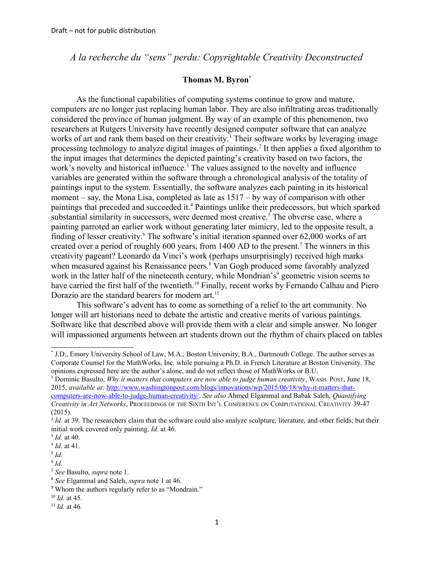*A la recherche du "sens" perdu: Copyrightable Creativity Deconstructed*

## **Thomas M. Byron[\\*](#page-0-0)**

As the functional capabilities of computing systems continue to grow and mature, computers are no longer just replacing human labor. They are also infiltrating areas traditionally considered the province of human judgment. By way of an example of this phenomenon, two researchers at Rutgers University have recently designed computer software that can analyze works of art and rank them based on their creativity.<sup>[1](#page-0-1)</sup> Their software works by leveraging image processing technology to analyze digital images of paintings.<sup>[2](#page-0-2)</sup> It then applies a fixed algorithm to the input images that determines the depicted painting's creativity based on two factors, the work's novelty and historical influence.<sup>[3](#page-0-3)</sup> The values assigned to the novelty and influence variables are generated within the software through a chronological analysis of the totality of paintings input to the system. Essentially, the software analyzes each painting in its historical moment – say, the Mona Lisa, completed as late as 1517 – by way of comparison with other paintings that preceded and succeeded it.<sup>[4](#page-0-4)</sup> Paintings unlike their predecessors, but which sparked substantial similarity in successors, were deemed most creative.<sup>[5](#page-0-5)</sup> The obverse case, where a painting parroted an earlier work without generating later mimicry, led to the opposite result, a finding of lesser creativity.<sup>[6](#page-0-6)</sup> The software's initial iteration spanned over 62,000 works of art created over a period of roughly  $600$  years, from 1400 AD to the present.<sup>[7](#page-0-7)</sup> The winners in this creativity pageant? Leonardo da Vinci's work (perhaps unsurprisingly) received high marks when measured against his Renaissance peers.<sup>[8](#page-0-8)</sup> Van Gogh produced some favorably analyzed work in the latter half of the nineteenth century, while Mondrian's<sup>[9](#page-0-9)</sup> geometric vision seems to have carried the first half of the twentieth.<sup>[10](#page-0-10)</sup> Finally, recent works by Fernando Calhau and Piero Dorazio are the standard bearers for modern art.<sup>[11](#page-0-11)</sup>

This software's advent has to come as something of a relief to the art community. No longer will art historians need to debate the artistic and creative merits of various paintings. Software like that described above will provide them with a clear and simple answer. No longer will impassioned arguments between art students drown out the rhythm of chairs placed on tables

<span id="page-0-1"></span>1 Dominic Basulto, *Why it matters that computers are now able to judge human creativity*, WASH. POST, June 18, 2015, *available at:* [http://www.washingtonpost.com/blogs/innovations/wp/2015/06/18/why-it-matters-that](http://www.washingtonpost.com/blogs/innovations/wp/2015/06/18/why-it-matters-that-computers-are-now-able-to-judge-human-creativity/)[computers-are-now-able-to-judge-human-creativity/.](http://www.washingtonpost.com/blogs/innovations/wp/2015/06/18/why-it-matters-that-computers-are-now-able-to-judge-human-creativity/) *See also* Ahmed Elgammal and Babak Saleh, *Quantifying Creativity in Art Networks*, PROCEEDINGS OF THE SIXTH INT'L CONFERENCE ON COMPUTATIONAL CREATIVITY 39-47 (2015).

<span id="page-0-0"></span><sup>\*</sup> J.D., Emory University School of Law, M.A., Boston University, B.A., Dartmouth College. The author serves as Corporate Counsel for the MathWorks, Inc. while pursuing a Ph.D. in French Literature at Boston University. The opinions expressed here are the author's alone, and do not reflect those of MathWorks or B.U.

<span id="page-0-2"></span><sup>&</sup>lt;sup>2</sup> *Id.* at 39. The researchers claim that the software could also analyze sculpture, literature, and other fields; but their initial work covered only painting. *Id.* at 46.

<span id="page-0-3"></span><sup>3</sup> *Id.* at 40.

<span id="page-0-4"></span><sup>4</sup> *Id.* at 41.

<span id="page-0-5"></span><sup>5</sup> *Id.*

<span id="page-0-6"></span><sup>6</sup> *Id.*

<span id="page-0-7"></span><sup>7</sup> *See* Basulto, *supra* note 1.

<span id="page-0-8"></span><sup>8</sup> *See* Elgammal and Saleh, *supra* note 1 at 46.

<span id="page-0-9"></span><sup>&</sup>lt;sup>9</sup> Whom the authors regularly refer to as "Mondrain."

<span id="page-0-10"></span><sup>10</sup> *Id.* at 45.

<span id="page-0-11"></span> $11$  *Id.* at 46.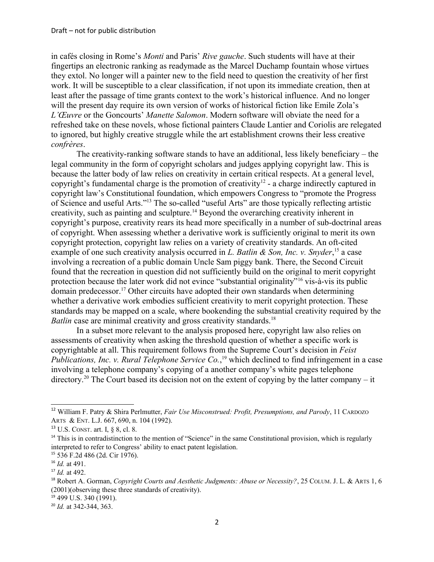in cafés closing in Rome's *Monti* and Paris' *Rive gauche*. Such students will have at their fingertips an electronic ranking as readymade as the Marcel Duchamp fountain whose virtues they extol. No longer will a painter new to the field need to question the creativity of her first work. It will be susceptible to a clear classification, if not upon its immediate creation, then at least after the passage of time grants context to the work's historical influence. And no longer will the present day require its own version of works of historical fiction like Emile Zola's *L'Œuvre* or the Goncourts' *Manette Salomon*. Modern software will obviate the need for a refreshed take on these novels, whose fictional painters Claude Lantier and Coriolis are relegated to ignored, but highly creative struggle while the art establishment crowns their less creative *confrères*.

The creativity-ranking software stands to have an additional, less likely beneficiary – the legal community in the form of copyright scholars and judges applying copyright law. This is because the latter body of law relies on creativity in certain critical respects. At a general level, copyright's fundamental charge is the promotion of creativity<sup>[12](#page-1-0)</sup> - a charge indirectly captured in copyright law's Constitutional foundation, which empowers Congress to "promote the Progress of Science and useful Arts."[13](#page-1-1) The so-called "useful Arts" are those typically reflecting artistic creativity, such as painting and sculpture.[14](#page-1-2) Beyond the overarching creativity inherent in copyright's purpose, creativity rears its head more specifically in a number of sub-doctrinal areas of copyright. When assessing whether a derivative work is sufficiently original to merit its own copyright protection, copyright law relies on a variety of creativity standards. An oft-cited example of one such creativity analysis occurred in *L. Batlin & Son, Inc. v. Snyder*,<sup>[15](#page-1-3)</sup> a case involving a recreation of a public domain Uncle Sam piggy bank. There, the Second Circuit found that the recreation in question did not sufficiently build on the original to merit copyright protection because the later work did not evince "substantial originality"[16](#page-1-4) vis-à-vis its public domain predecessor.[17](#page-1-5) Other circuits have adopted their own standards when determining whether a derivative work embodies sufficient creativity to merit copyright protection. These standards may be mapped on a scale, where bookending the substantial creativity required by the *Batlin* case are minimal creativity and gross creativity standards.<sup>[18](#page-1-6)</sup>

In a subset more relevant to the analysis proposed here, copyright law also relies on assessments of creativity when asking the threshold question of whether a specific work is copyrightable at all. This requirement follows from the Supreme Court's decision in *Feist Publications, Inc. v. Rural Telephone Service Co.*, [19](#page-1-7) which declined to find infringement in a case involving a telephone company's copying of a another company's white pages telephone directory.<sup>[20](#page-1-8)</sup> The Court based its decision not on the extent of copying by the latter company – it

<span id="page-1-0"></span><sup>12</sup> William F. Patry & Shira Perlmutter, *Fair Use Misconstrued: Profit, Presumptions, and Parody*, 11 CARDOZO ARTS & ENT. L.J. 667, 690, n. 104 (1992).

<span id="page-1-1"></span><sup>13</sup> U.S. CONST. art. I, § 8, cl. 8.

<span id="page-1-2"></span><sup>&</sup>lt;sup>14</sup> This is in contradistinction to the mention of "Science" in the same Constitutional provision, which is regularly interpreted to refer to Congress' ability to enact patent legislation.

<span id="page-1-3"></span><sup>15</sup> 536 F.2d 486 (2d. Cir 1976).

<span id="page-1-4"></span><sup>16</sup> *Id.* at 491.

<span id="page-1-5"></span><sup>17</sup> *Id.* at 492.

<span id="page-1-6"></span><sup>&</sup>lt;sup>18</sup> Robert A. Gorman, *Copyright Courts and Aesthetic Judgments: Abuse or Necessity?*, 25 COLUM. J. L. & ARTS 1, 6 (2001)(observing these three standards of creativity).

<span id="page-1-7"></span> $19$  499 U.S. 340 (1991).

<span id="page-1-8"></span><sup>20</sup> *Id.* at 342-344, 363.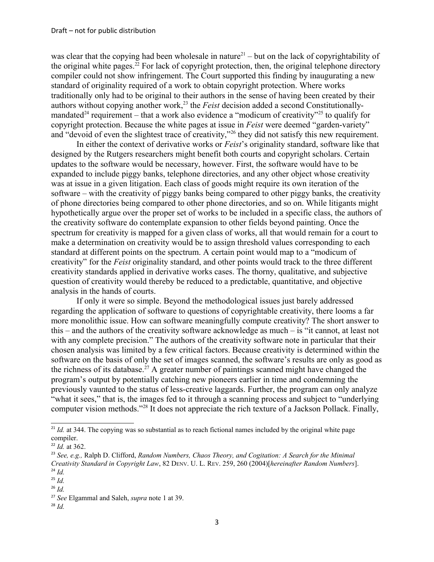was clear that the copying had been wholesale in nature<sup>[21](#page-2-0)</sup> – but on the lack of copyrightability of the original white pages.<sup>[22](#page-2-1)</sup> For lack of copyright protection, then, the original telephone directory compiler could not show infringement. The Court supported this finding by inaugurating a new standard of originality required of a work to obtain copyright protection. Where works traditionally only had to be original to their authors in the sense of having been created by their authors without copying another work,<sup>[23](#page-2-2)</sup> the *Feist* decision added a second Constitutionally-mandated<sup>[24](#page-2-3)</sup> requirement – that a work also evidence a "modicum of creativity"<sup>[25](#page-2-4)</sup> to qualify for copyright protection. Because the white pages at issue in *Feist* were deemed "garden-variety" and "devoid of even the slightest trace of creativity,"[26](#page-2-5) they did not satisfy this new requirement.

In either the context of derivative works or *Feist*'s originality standard, software like that designed by the Rutgers researchers might benefit both courts and copyright scholars. Certain updates to the software would be necessary, however. First, the software would have to be expanded to include piggy banks, telephone directories, and any other object whose creativity was at issue in a given litigation. Each class of goods might require its own iteration of the software – with the creativity of piggy banks being compared to other piggy banks, the creativity of phone directories being compared to other phone directories, and so on. While litigants might hypothetically argue over the proper set of works to be included in a specific class, the authors of the creativity software do contemplate expansion to other fields beyond painting. Once the spectrum for creativity is mapped for a given class of works, all that would remain for a court to make a determination on creativity would be to assign threshold values corresponding to each standard at different points on the spectrum. A certain point would map to a "modicum of creativity" for the *Feist* originality standard, and other points would track to the three different creativity standards applied in derivative works cases. The thorny, qualitative, and subjective question of creativity would thereby be reduced to a predictable, quantitative, and objective analysis in the hands of courts.

If only it were so simple. Beyond the methodological issues just barely addressed regarding the application of software to questions of copyrightable creativity, there looms a far more monolithic issue. How can software meaningfully compute creativity? The short answer to this – and the authors of the creativity software acknowledge as much – is "it cannot, at least not with any complete precision." The authors of the creativity software note in particular that their chosen analysis was limited by a few critical factors. Because creativity is determined within the software on the basis of only the set of images scanned, the software's results are only as good as the richness of its database.<sup>[27](#page-2-6)</sup> A greater number of paintings scanned might have changed the program's output by potentially catching new pioneers earlier in time and condemning the previously vaunted to the status of less-creative laggards. Further, the program can only analyze "what it sees," that is, the images fed to it through a scanning process and subject to "underlying computer vision methods."[28](#page-2-7) It does not appreciate the rich texture of a Jackson Pollack. Finally,

<span id="page-2-0"></span><sup>&</sup>lt;sup>21</sup> *Id.* at 344. The copying was so substantial as to reach fictional names included by the original white page compiler.

<span id="page-2-1"></span><sup>22</sup> *Id.* at 362.

<span id="page-2-2"></span><sup>23</sup> *See, e.g.,* Ralph D. Clifford, *Random Numbers, Chaos Theory, and Cogitation: A Search for the Minimal Creativity Standard in Copyright Law*, 82 DENV. U. L. REV. 259, 260 (2004)[*hereinafter Random Numbers*]. <sup>24</sup> *Id.* 

<span id="page-2-4"></span><span id="page-2-3"></span><sup>25</sup> *Id.*

<span id="page-2-5"></span><sup>26</sup> *Id.*

<span id="page-2-6"></span><sup>27</sup> *See* Elgammal and Saleh, *supra* note 1 at 39.

<span id="page-2-7"></span><sup>28</sup> *Id.*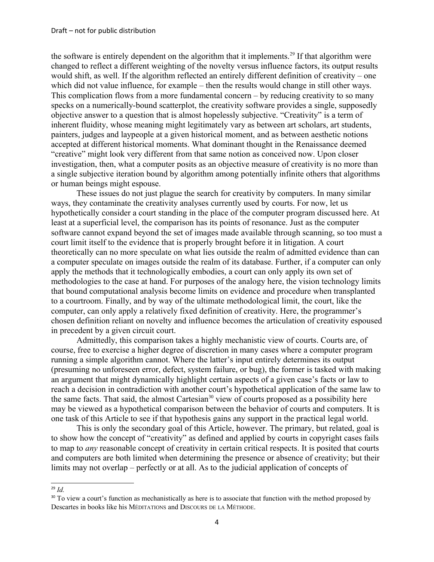the software is entirely dependent on the algorithm that it implements.<sup>[29](#page-3-0)</sup> If that algorithm were changed to reflect a different weighting of the novelty versus influence factors, its output results would shift, as well. If the algorithm reflected an entirely different definition of creativity – one which did not value influence, for example – then the results would change in still other ways. This complication flows from a more fundamental concern – by reducing creativity to so many specks on a numerically-bound scatterplot, the creativity software provides a single, supposedly objective answer to a question that is almost hopelessly subjective. "Creativity" is a term of inherent fluidity, whose meaning might legitimately vary as between art scholars, art students, painters, judges and laypeople at a given historical moment, and as between aesthetic notions accepted at different historical moments. What dominant thought in the Renaissance deemed "creative" might look very different from that same notion as conceived now. Upon closer investigation, then, what a computer posits as an objective measure of creativity is no more than a single subjective iteration bound by algorithm among potentially infinite others that algorithms or human beings might espouse.

These issues do not just plague the search for creativity by computers. In many similar ways, they contaminate the creativity analyses currently used by courts. For now, let us hypothetically consider a court standing in the place of the computer program discussed here. At least at a superficial level, the comparison has its points of resonance. Just as the computer software cannot expand beyond the set of images made available through scanning, so too must a court limit itself to the evidence that is properly brought before it in litigation. A court theoretically can no more speculate on what lies outside the realm of admitted evidence than can a computer speculate on images outside the realm of its database. Further, if a computer can only apply the methods that it technologically embodies, a court can only apply its own set of methodologies to the case at hand. For purposes of the analogy here, the vision technology limits that bound computational analysis become limits on evidence and procedure when transplanted to a courtroom. Finally, and by way of the ultimate methodological limit, the court, like the computer, can only apply a relatively fixed definition of creativity. Here, the programmer's chosen definition reliant on novelty and influence becomes the articulation of creativity espoused in precedent by a given circuit court.

Admittedly, this comparison takes a highly mechanistic view of courts. Courts are, of course, free to exercise a higher degree of discretion in many cases where a computer program running a simple algorithm cannot. Where the latter's input entirely determines its output (presuming no unforeseen error, defect, system failure, or bug), the former is tasked with making an argument that might dynamically highlight certain aspects of a given case's facts or law to reach a decision in contradiction with another court's hypothetical application of the same law to the same facts. That said, the almost Cartesian<sup>[30](#page-3-1)</sup> view of courts proposed as a possibility here may be viewed as a hypothetical comparison between the behavior of courts and computers. It is one task of this Article to see if that hypothesis gains any support in the practical legal world.

This is only the secondary goal of this Article, however. The primary, but related, goal is to show how the concept of "creativity" as defined and applied by courts in copyright cases fails to map to *any* reasonable concept of creativity in certain critical respects. It is posited that courts and computers are both limited when determining the presence or absence of creativity; but their limits may not overlap – perfectly or at all. As to the judicial application of concepts of

<span id="page-3-0"></span><sup>29</sup> *Id.*

<span id="page-3-1"></span><sup>&</sup>lt;sup>30</sup> To view a court's function as mechanistically as here is to associate that function with the method proposed by Descartes in books like his MÉDITATIONS and DISCOURS DE LA MÉTHODE.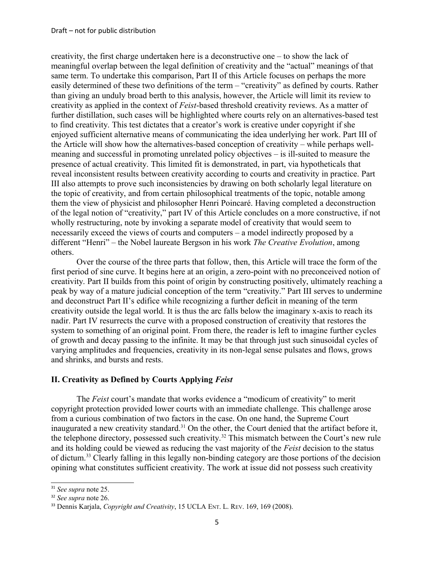creativity, the first charge undertaken here is a deconstructive one – to show the lack of meaningful overlap between the legal definition of creativity and the "actual" meanings of that same term. To undertake this comparison, Part II of this Article focuses on perhaps the more easily determined of these two definitions of the term – "creativity" as defined by courts. Rather than giving an unduly broad berth to this analysis, however, the Article will limit its review to creativity as applied in the context of *Feist*-based threshold creativity reviews. As a matter of further distillation, such cases will be highlighted where courts rely on an alternatives-based test to find creativity. This test dictates that a creator's work is creative under copyright if she enjoyed sufficient alternative means of communicating the idea underlying her work. Part III of the Article will show how the alternatives-based conception of creativity – while perhaps wellmeaning and successful in promoting unrelated policy objectives – is ill-suited to measure the presence of actual creativity. This limited fit is demonstrated, in part, via hypotheticals that reveal inconsistent results between creativity according to courts and creativity in practice. Part III also attempts to prove such inconsistencies by drawing on both scholarly legal literature on the topic of creativity, and from certain philosophical treatments of the topic, notable among them the view of physicist and philosopher Henri Poincaré. Having completed a deconstruction of the legal notion of "creativity," part IV of this Article concludes on a more constructive, if not wholly restructuring, note by invoking a separate model of creativity that would seem to necessarily exceed the views of courts and computers – a model indirectly proposed by a different "Henri" – the Nobel laureate Bergson in his work *The Creative Evolution*, among others.

Over the course of the three parts that follow, then, this Article will trace the form of the first period of sine curve. It begins here at an origin, a zero-point with no preconceived notion of creativity. Part II builds from this point of origin by constructing positively, ultimately reaching a peak by way of a mature judicial conception of the term "creativity." Part III serves to undermine and deconstruct Part II's edifice while recognizing a further deficit in meaning of the term creativity outside the legal world. It is thus the arc falls below the imaginary x-axis to reach its nadir. Part IV resurrects the curve with a proposed construction of creativity that restores the system to something of an original point. From there, the reader is left to imagine further cycles of growth and decay passing to the infinite. It may be that through just such sinusoidal cycles of varying amplitudes and frequencies, creativity in its non-legal sense pulsates and flows, grows and shrinks, and bursts and rests.

#### **II. Creativity as Defined by Courts Applying** *Feist*

The *Feist* court's mandate that works evidence a "modicum of creativity" to merit copyright protection provided lower courts with an immediate challenge. This challenge arose from a curious combination of two factors in the case. On one hand, the Supreme Court inaugurated a new creativity standard.<sup>[31](#page-4-0)</sup> On the other, the Court denied that the artifact before it, the telephone directory, possessed such creativity.<sup>[32](#page-4-1)</sup> This mismatch between the Court's new rule and its holding could be viewed as reducing the vast majority of the *Feist* decision to the status of dictum.[33](#page-4-2) Clearly falling in this legally non-binding category are those portions of the decision opining what constitutes sufficient creativity. The work at issue did not possess such creativity

<span id="page-4-0"></span><sup>31</sup> *See supra* note 25.

<span id="page-4-1"></span><sup>32</sup> *See supra* note 26.

<span id="page-4-2"></span><sup>33</sup> Dennis Karjala, *Copyright and Creativity*, 15 UCLA ENT. L. REV. 169, 169 (2008).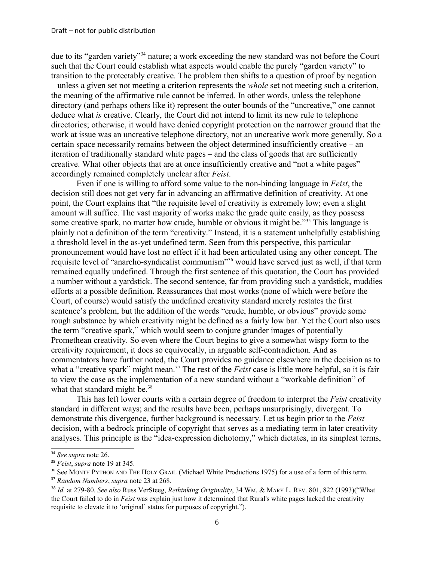due to its "garden variety"[34](#page-5-0) nature; a work exceeding the new standard was not before the Court such that the Court could establish what aspects would enable the purely "garden variety" to transition to the protectably creative. The problem then shifts to a question of proof by negation – unless a given set not meeting a criterion represents the *whole* set not meeting such a criterion, the meaning of the affirmative rule cannot be inferred. In other words, unless the telephone directory (and perhaps others like it) represent the outer bounds of the "uncreative," one cannot deduce what *is* creative. Clearly, the Court did not intend to limit its new rule to telephone directories; otherwise, it would have denied copyright protection on the narrower ground that the work at issue was an uncreative telephone directory, not an uncreative work more generally. So a certain space necessarily remains between the object determined insufficiently creative – an iteration of traditionally standard white pages – and the class of goods that are sufficiently creative. What other objects that are at once insufficiently creative and "not a white pages" accordingly remained completely unclear after *Feist*.

Even if one is willing to afford some value to the non-binding language in *Feist*, the decision still does not get very far in advancing an affirmative definition of creativity. At one point, the Court explains that "the requisite level of creativity is extremely low; even a slight amount will suffice. The vast majority of works make the grade quite easily, as they possess some creative spark, no matter how crude, humble or obvious it might be."<sup>[35](#page-5-1)</sup> This language is plainly not a definition of the term "creativity." Instead, it is a statement unhelpfully establishing a threshold level in the as-yet undefined term. Seen from this perspective, this particular pronouncement would have lost no effect if it had been articulated using any other concept. The requisite level of "anarcho-syndicalist communism"[36](#page-5-2) would have served just as well, if that term remained equally undefined. Through the first sentence of this quotation, the Court has provided a number without a yardstick. The second sentence, far from providing such a yardstick, muddies efforts at a possible definition. Reassurances that most works (none of which were before the Court, of course) would satisfy the undefined creativity standard merely restates the first sentence's problem, but the addition of the words "crude, humble, or obvious" provide some rough substance by which creativity might be defined as a fairly low bar. Yet the Court also uses the term "creative spark," which would seem to conjure grander images of potentially Promethean creativity. So even where the Court begins to give a somewhat wispy form to the creativity requirement, it does so equivocally, in arguable self-contradiction. And as commentators have further noted, the Court provides no guidance elsewhere in the decision as to what a "creative spark" might mean.<sup>[37](#page-5-3)</sup> The rest of the *Feist* case is little more helpful, so it is fair to view the case as the implementation of a new standard without a "workable definition" of what that standard might be.<sup>[38](#page-5-4)</sup>

This has left lower courts with a certain degree of freedom to interpret the *Feist* creativity standard in different ways; and the results have been, perhaps unsurprisingly, divergent. To demonstrate this divergence, further background is necessary. Let us begin prior to the *Feist*  decision, with a bedrock principle of copyright that serves as a mediating term in later creativity analyses. This principle is the "idea-expression dichotomy," which dictates, in its simplest terms,

<span id="page-5-0"></span><sup>34</sup> *See supra* note 26.

<span id="page-5-1"></span><sup>35</sup> *Feist*, *supra* note 19 at 345.

<span id="page-5-2"></span><sup>&</sup>lt;sup>36</sup> See MONTY PYTHON AND THE HOLY GRAIL (Michael White Productions 1975) for a use of a form of this term.

<span id="page-5-3"></span><sup>37</sup> *Random Numbers*, *supra* note 23 at 268.

<span id="page-5-4"></span><sup>38</sup> *Id.* at 279-80. *See also* Russ VerSteeg, *Rethinking Originality*, 34 WM. & MARY L. REV. 801, 822 (1993)("What the Court failed to do in *Feist* was explain just how it determined that Rural's white pages lacked the creativity requisite to elevate it to 'original' status for purposes of copyright.").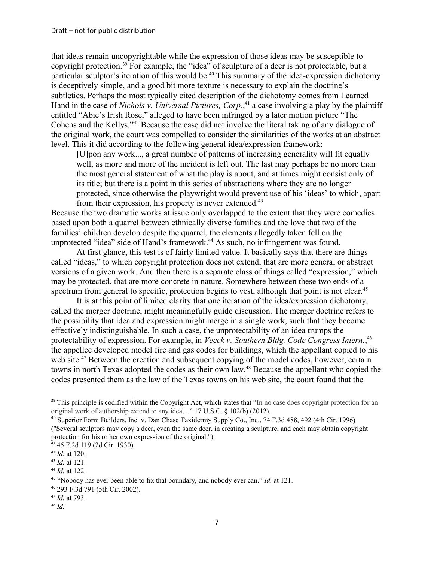that ideas remain uncopyrightable while the expression of those ideas may be susceptible to copyright protection.[39](#page-6-0) For example, the "idea" of sculpture of a deer is not protectable, but a particular sculptor's iteration of this would be.<sup>[40](#page-6-1)</sup> This summary of the idea-expression dichotomy is deceptively simple, and a good bit more texture is necessary to explain the doctrine's subtleties. Perhaps the most typically cited description of the dichotomy comes from Learned Hand in the case of *Nichols v. Universal Pictures, Corp.*, [41](#page-6-2) a case involving a play by the plaintiff entitled "Abie's Irish Rose," alleged to have been infringed by a later motion picture "The Cohens and the Kellys."[42](#page-6-3) Because the case did not involve the literal taking of any dialogue of the original work, the court was compelled to consider the similarities of the works at an abstract level. This it did according to the following general idea/expression framework:

[U]pon any work..., a great number of patterns of increasing generality will fit equally well, as more and more of the incident is left out. The last may perhaps be no more than the most general statement of what the play is about, and at times might consist only of its title; but there is a point in this series of abstractions where they are no longer protected, since otherwise the playwright would prevent use of his 'ideas' to which, apart from their expression, his property is never extended.<sup>[43](#page-6-4)</sup>

Because the two dramatic works at issue only overlapped to the extent that they were comedies based upon both a quarrel between ethnically diverse families and the love that two of the families' children develop despite the quarrel, the elements allegedly taken fell on the unprotected "idea" side of Hand's framework.<sup>[44](#page-6-5)</sup> As such, no infringement was found.

At first glance, this test is of fairly limited value. It basically says that there are things called "ideas," to which copyright protection does not extend, that are more general or abstract versions of a given work. And then there is a separate class of things called "expression," which may be protected, that are more concrete in nature. Somewhere between these two ends of a spectrum from general to specific, protection begins to vest, although that point is not clear.<sup>[45](#page-6-6)</sup>

It is at this point of limited clarity that one iteration of the idea/expression dichotomy, called the merger doctrine, might meaningfully guide discussion. The merger doctrine refers to the possibility that idea and expression might merge in a single work, such that they become effectively indistinguishable. In such a case, the unprotectability of an idea trumps the protectability of expression. For example, in *Veeck v. Southern Bldg. Code Congress Intern.*, [46](#page-6-7) the appellee developed model fire and gas codes for buildings, which the appellant copied to his web site.<sup>[47](#page-6-8)</sup> Between the creation and subsequent copying of the model codes, however, certain towns in north Texas adopted the codes as their own law.[48](#page-6-9) Because the appellant who copied the codes presented them as the law of the Texas towns on his web site, the court found that the

<span id="page-6-0"></span><sup>&</sup>lt;sup>39</sup> This principle is codified within the Copyright Act, which states that "In no case does copyright protection for an original work of authorship extend to any idea…" 17 U.S.C. § 102(b) (2012).

<span id="page-6-1"></span><sup>40</sup> Superior Form Builders, Inc. v. Dan Chase Taxidermy Supply Co., Inc., 74 F.3d 488, 492 (4th Cir. 1996) ("Several sculptors may copy a deer, even the same deer, in creating a sculpture, and each may obtain copyright protection for his or her own expression of the original.").

<span id="page-6-2"></span><sup>41</sup> 45 F.2d 119 (2d Cir. 1930).

<span id="page-6-3"></span><sup>42</sup> *Id.* at 120.

<span id="page-6-4"></span><sup>43</sup> *Id.* at 121.

<span id="page-6-5"></span><sup>44</sup> *Id.* at 122.

<span id="page-6-6"></span><sup>45</sup> "Nobody has ever been able to fix that boundary, and nobody ever can." *Id.* at 121.

<span id="page-6-7"></span><sup>46</sup> 293 F.3d 791 (5th Cir. 2002).

<span id="page-6-8"></span><sup>47</sup> *Id.* at 793.

<span id="page-6-9"></span><sup>48</sup> *Id.*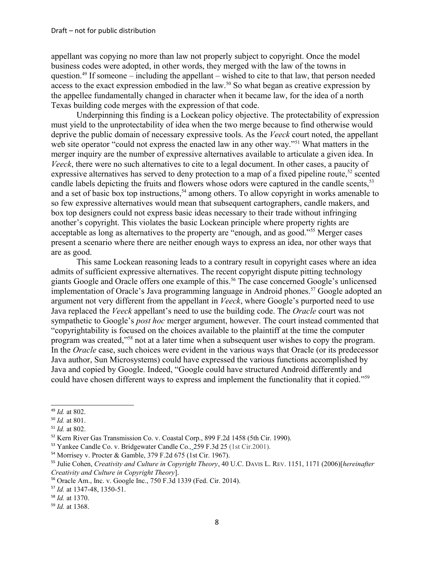appellant was copying no more than law not properly subject to copyright. Once the model business codes were adopted, in other words, they merged with the law of the towns in question.<sup>[49](#page-7-0)</sup> If someone – including the appellant – wished to cite to that law, that person needed access to the exact expression embodied in the law.<sup>[50](#page-7-1)</sup> So what began as creative expression by the appellee fundamentally changed in character when it became law, for the idea of a north Texas building code merges with the expression of that code.

Underpinning this finding is a Lockean policy objective. The protectability of expression must yield to the unprotectability of idea when the two merge because to find otherwise would deprive the public domain of necessary expressive tools. As the *Veeck* court noted, the appellant web site operator "could not express the enacted law in any other way."<sup>[51](#page-7-2)</sup> What matters in the merger inquiry are the number of expressive alternatives available to articulate a given idea. In *Veeck*, there were no such alternatives to cite to a legal document. In other cases, a paucity of expressive alternatives has served to deny protection to a map of a fixed pipeline route,<sup>[52](#page-7-3)</sup> scented candle labels depicting the fruits and flowers whose odors were captured in the candle scents,<sup>[53](#page-7-4)</sup> and a set of basic box top instructions,<sup>[54](#page-7-5)</sup> among others. To allow copyright in works amenable to so few expressive alternatives would mean that subsequent cartographers, candle makers, and box top designers could not express basic ideas necessary to their trade without infringing another's copyright. This violates the basic Lockean principle where property rights are acceptable as long as alternatives to the property are "enough, and as good."[55](#page-7-6) Merger cases present a scenario where there are neither enough ways to express an idea, nor other ways that are as good.

This same Lockean reasoning leads to a contrary result in copyright cases where an idea admits of sufficient expressive alternatives. The recent copyright dispute pitting technology giants Google and Oracle offers one example of this.[56](#page-7-7) The case concerned Google's unlicensed implementation of Oracle's Java programming language in Android phones.<sup>[57](#page-7-8)</sup> Google adopted an argument not very different from the appellant in *Veeck*, where Google's purported need to use Java replaced the *Veeck* appellant's need to use the building code. The *Oracle* court was not sympathetic to Google's *post hoc* merger argument, however. The court instead commented that "copyrightability is focused on the choices available to the plaintiff at the time the computer program was created," [58](#page-7-9) not at a later time when a subsequent user wishes to copy the program. In the *Oracle* case, such choices were evident in the various ways that Oracle (or its predecessor Java author, Sun Microsystems) could have expressed the various functions accomplished by Java and copied by Google. Indeed, "Google could have structured Android differently and could have chosen different ways to express and implement the functionality that it copied."<sup>[59](#page-7-10)</sup>

<span id="page-7-0"></span><sup>49</sup> *Id.* at 802.

<span id="page-7-1"></span><sup>50</sup> *Id.* at 801.

<span id="page-7-2"></span><sup>51</sup> *Id.* at 802.

<span id="page-7-3"></span><sup>52</sup> Kern River Gas Transmission Co. v. Coastal Corp., 899 F.2d 1458 (5th Cir. 1990).

<span id="page-7-4"></span><sup>53</sup> Yankee Candle Co. v. Bridgewater Candle Co.*,* 259 F.3d 25 (1st Cir.2001).

<span id="page-7-5"></span><sup>54</sup> Morrisey v. Procter & Gamble, 379 F.2d 675 (1st Cir. 1967).

<span id="page-7-6"></span><sup>55</sup> Julie Cohen, *Creativity and Culture in Copyright Theory*, 40 U.C. DAVIS L. REV. 1151, 1171 (2006)[*hereinafter Creativity and Culture in Copyright Theory*].

<span id="page-7-7"></span><sup>56</sup> Oracle Am., Inc. v. Google Inc., 750 F.3d 1339 (Fed. Cir. 2014).

<span id="page-7-8"></span><sup>57</sup> *Id.* at 1347-48, 1350-51.

<span id="page-7-9"></span><sup>58</sup> *Id.* at 1370.

<span id="page-7-10"></span><sup>59</sup> *Id.* at 1368.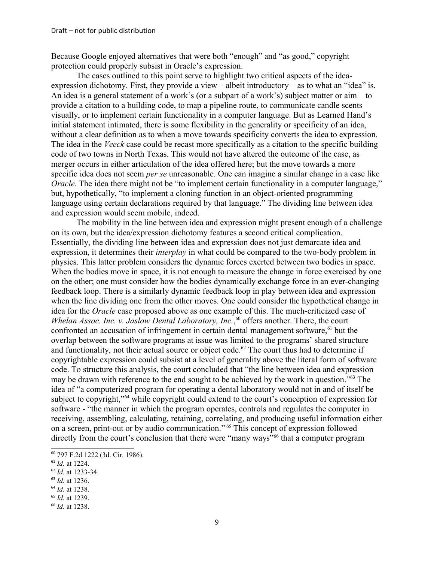Because Google enjoyed alternatives that were both "enough" and "as good," copyright protection could properly subsist in Oracle's expression.

The cases outlined to this point serve to highlight two critical aspects of the ideaexpression dichotomy. First, they provide a view – albeit introductory – as to what an "idea" is. An idea is a general statement of a work's (or a subpart of a work's) subject matter or aim – to provide a citation to a building code, to map a pipeline route, to communicate candle scents visually, or to implement certain functionality in a computer language. But as Learned Hand's initial statement intimated, there is some flexibility in the generality or specificity of an idea, without a clear definition as to when a move towards specificity converts the idea to expression. The idea in the *Veeck* case could be recast more specifically as a citation to the specific building code of two towns in North Texas. This would not have altered the outcome of the case, as merger occurs in either articulation of the idea offered here; but the move towards a more specific idea does not seem *per se* unreasonable. One can imagine a similar change in a case like *Oracle*. The idea there might not be "to implement certain functionality in a computer language," but, hypothetically, "to implement a cloning function in an object-oriented programming language using certain declarations required by that language." The dividing line between idea and expression would seem mobile, indeed.

The mobility in the line between idea and expression might present enough of a challenge on its own, but the idea/expression dichotomy features a second critical complication. Essentially, the dividing line between idea and expression does not just demarcate idea and expression, it determines their *interplay* in what could be compared to the two-body problem in physics. This latter problem considers the dynamic forces exerted between two bodies in space. When the bodies move in space, it is not enough to measure the change in force exercised by one on the other; one must consider how the bodies dynamically exchange force in an ever-changing feedback loop. There is a similarly dynamic feedback loop in play between idea and expression when the line dividing one from the other moves. One could consider the hypothetical change in idea for the *Oracle* case proposed above as one example of this. The much-criticized case of Whelan Assoc. Inc. v. Jaslow Dental Laboratory, Inc.,<sup>[60](#page-8-0)</sup> offers another. There, the court confronted an accusation of infringement in certain dental management software, $61$  but the overlap between the software programs at issue was limited to the programs' shared structure and functionality, not their actual source or object code.<sup>[62](#page-8-2)</sup> The court thus had to determine if copyrightable expression could subsist at a level of generality above the literal form of software code. To structure this analysis, the court concluded that "the line between idea and expression may be drawn with reference to the end sought to be achieved by the work in question."[63](#page-8-3) The idea of "a computerized program for operating a dental laboratory would not in and of itself be subject to copyright,"<sup>[64](#page-8-4)</sup> while copyright could extend to the court's conception of expression for software - "the manner in which the program operates, controls and regulates the computer in receiving, assembling, calculating, retaining, correlating, and producing useful information either on a screen, print-out or by audio communication." [65](#page-8-5) This concept of expression followed directly from the court's conclusion that there were "many ways"<sup>[66](#page-8-6)</sup> that a computer program

<span id="page-8-0"></span><sup>60</sup> 797 F.2d 1222 (3d. Cir. 1986).

<span id="page-8-1"></span><sup>61</sup> *Id.* at 1224.

<span id="page-8-2"></span><sup>62</sup> *Id.* at 1233-34.

<span id="page-8-3"></span><sup>63</sup> *Id.* at 1236.

<span id="page-8-4"></span><sup>64</sup> *Id.* at 1238.

<span id="page-8-5"></span><sup>65</sup> *Id.* at 1239.

<span id="page-8-6"></span><sup>66</sup> *Id.* at 1238.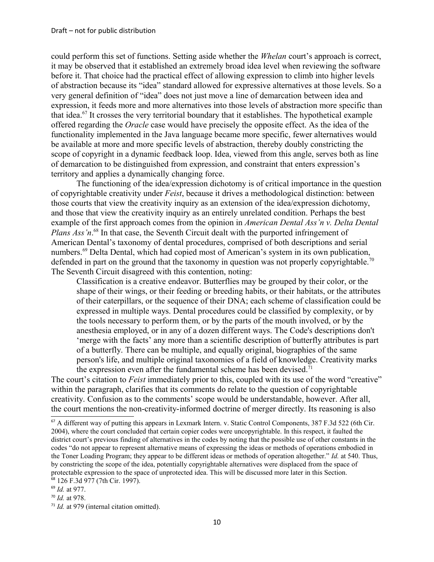could perform this set of functions. Setting aside whether the *Whelan* court's approach is correct, it may be observed that it established an extremely broad idea level when reviewing the software before it. That choice had the practical effect of allowing expression to climb into higher levels of abstraction because its "idea" standard allowed for expressive alternatives at those levels. So a very general definition of "idea" does not just move a line of demarcation between idea and expression, it feeds more and more alternatives into those levels of abstraction more specific than that idea.[67](#page-9-0) It crosses the very territorial boundary that it establishes. The hypothetical example offered regarding the *Oracle* case would have precisely the opposite effect. As the idea of the functionality implemented in the Java language became more specific, fewer alternatives would be available at more and more specific levels of abstraction, thereby doubly constricting the scope of copyright in a dynamic feedback loop. Idea, viewed from this angle, serves both as line of demarcation to be distinguished from expression, and constraint that enters expression's territory and applies a dynamically changing force.

The functioning of the idea/expression dichotomy is of critical importance in the question of copyrightable creativity under *Feist*, because it drives a methodological distinction: between those courts that view the creativity inquiry as an extension of the idea/expression dichotomy, and those that view the creativity inquiry as an entirely unrelated condition. Perhaps the best example of the first approach comes from the opinion in *American Dental Ass'n v. Delta Dental*  Plans Ass'n.<sup>[68](#page-9-1)</sup> In that case, the Seventh Circuit dealt with the purported infringement of American Dental's taxonomy of dental procedures, comprised of both descriptions and serial numbers.<sup>[69](#page-9-2)</sup> Delta Dental, which had copied most of American's system in its own publication, defended in part on the ground that the taxonomy in question was not properly copyrightable.<sup>[70](#page-9-3)</sup> The Seventh Circuit disagreed with this contention, noting:

Classification is a creative endeavor. Butterflies may be grouped by their color, or the shape of their wings, or their feeding or breeding habits, or their habitats, or the attributes of their caterpillars, or the sequence of their DNA; each scheme of classification could be expressed in multiple ways. Dental procedures could be classified by complexity, or by the tools necessary to perform them, or by the parts of the mouth involved, or by the anesthesia employed, or in any of a dozen different ways. The Code's descriptions don't 'merge with the facts' any more than a scientific description of butterfly attributes is part of a butterfly. There can be multiple, and equally original, biographies of the same person's life, and multiple original taxonomies of a field of knowledge. Creativity marks the expression even after the fundamental scheme has been devised.<sup>[71](#page-9-4)</sup>

The court's citation to *Feist* immediately prior to this, coupled with its use of the word "creative" within the paragraph, clarifies that its comments do relate to the question of copyrightable creativity. Confusion as to the comments' scope would be understandable, however. After all, the court mentions the non-creativity-informed doctrine of merger directly. Its reasoning is also

<span id="page-9-0"></span><sup>&</sup>lt;sup>67</sup> A different way of putting this appears in Lexmark Intern. v. Static Control Components, 387 F.3d 522 (6th Cir. 2004), where the court concluded that certain copier codes were uncopyrightable. In this respect, it faulted the district court's previous finding of alternatives in the codes by noting that the possible use of other constants in the codes "do not appear to represent alternative means of expressing the ideas or methods of operations embodied in the Toner Loading Program; they appear to be different ideas or methods of operation altogether." *Id.* at 540. Thus, by constricting the scope of the idea, potentially copyrightable alternatives were displaced from the space of protectable expression to the space of unprotected idea. This will be discussed more later in this Section. <sup>68</sup> 126 F.3d 977 (7th Cir. 1997).

<span id="page-9-2"></span><span id="page-9-1"></span><sup>69</sup> *Id.* at 977.

<span id="page-9-3"></span><sup>70</sup> *Id.* at 978.

<span id="page-9-4"></span><sup>71</sup> *Id.* at 979 (internal citation omitted).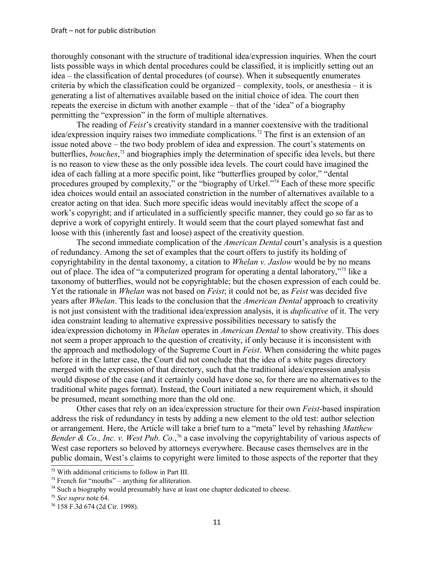thoroughly consonant with the structure of traditional idea/expression inquiries. When the court lists possible ways in which dental procedures could be classified, it is implicitly setting out an idea – the classification of dental procedures (of course). When it subsequently enumerates criteria by which the classification could be organized – complexity, tools, or anesthesia – it is generating a list of alternatives available based on the initial choice of idea. The court then repeats the exercise in dictum with another example – that of the 'idea" of a biography permitting the "expression" in the form of multiple alternatives.

The reading of *Feist*'s creativity standard in a manner coextensive with the traditional idea/expression inquiry raises two immediate complications.[72](#page-10-0) The first is an extension of an issue noted above – the two body problem of idea and expression. The court's statements on butterflies, *bouches*, [73](#page-10-1) and biographies imply the determination of specific idea levels, but there is no reason to view these as the only possible idea levels. The court could have imagined the idea of each falling at a more specific point, like "butterflies grouped by color," "dental procedures grouped by complexity," or the "biography of Urkel."<sup>[74](#page-10-2)</sup> Each of these more specific idea choices would entail an associated constriction in the number of alternatives available to a creator acting on that idea. Such more specific ideas would inevitably affect the scope of a work's copyright; and if articulated in a sufficiently specific manner, they could go so far as to deprive a work of copyright entirely. It would seem that the court played somewhat fast and loose with this (inherently fast and loose) aspect of the creativity question.

The second immediate complication of the *American Dental* court's analysis is a question of redundancy. Among the set of examples that the court offers to justify its holding of copyrightability in the dental taxonomy, a citation to *Whelan v. Jaslow* would be by no means out of place. The idea of "a computerized program for operating a dental laboratory,"[75](#page-10-3) like a taxonomy of butterflies, would not be copyrightable; but the chosen expression of each could be. Yet the rationale in *Whelan* was not based on *Feist*; it could not be, as *Feist* was decided five years after *Whelan*. This leads to the conclusion that the *American Dental* approach to creativity is not just consistent with the traditional idea/expression analysis, it is *duplicative* of it. The very idea constraint leading to alternative expressive possibilities necessary to satisfy the idea/expression dichotomy in *Whelan* operates in *American Dental* to show creativity. This does not seem a proper approach to the question of creativity, if only because it is inconsistent with the approach and methodology of the Supreme Court in *Feist*. When considering the white pages before it in the latter case, the Court did not conclude that the idea of a white pages directory merged with the expression of that directory, such that the traditional idea/expression analysis would dispose of the case (and it certainly could have done so, for there are no alternatives to the traditional white pages format). Instead, the Court initiated a new requirement which, it should be presumed, meant something more than the old one.

Other cases that rely on an idea/expression structure for their own *Feist*-based inspiration address the risk of redundancy in tests by adding a new element to the old test: author selection or arrangement. Here, the Article will take a brief turn to a "meta" level by rehashing *Matthew Bender & Co., Inc. v. West Pub. Co.*, [76](#page-10-4) a case involving the copyrightability of various aspects of West case reporters so beloved by attorneys everywhere. Because cases themselves are in the public domain, West's claims to copyright were limited to those aspects of the reporter that they

<span id="page-10-0"></span><sup>72</sup> With additional criticisms to follow in Part III.

<span id="page-10-1"></span> $73$  French for "mouths" – anything for alliteration.

<span id="page-10-2"></span><sup>&</sup>lt;sup>74</sup> Such a biography would presumably have at least one chapter dedicated to cheese.

<span id="page-10-3"></span><sup>75</sup> *See supra* note 64.

<span id="page-10-4"></span><sup>76</sup> 158 F.3d 674 (2d Cir. 1998).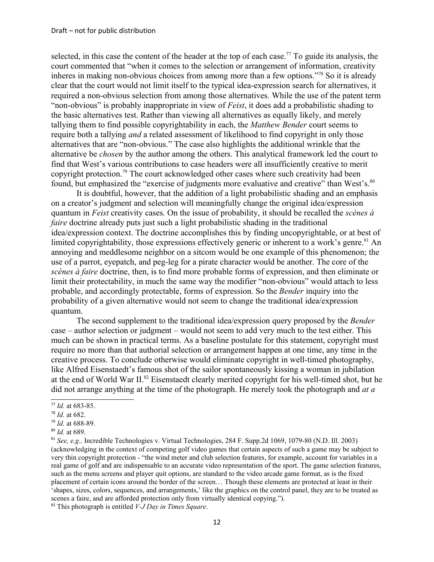selected, in this case the content of the header at the top of each case.<sup>[77](#page-11-0)</sup> To guide its analysis, the court commented that "when it comes to the selection or arrangement of information, creativity inheres in making non-obvious choices from among more than a few options." [78](#page-11-1) So it is already clear that the court would not limit itself to the typical idea-expression search for alternatives, it required a non-obvious selection from among those alternatives. While the use of the patent term "non-obvious" is probably inappropriate in view of *Feist*, it does add a probabilistic shading to the basic alternatives test. Rather than viewing all alternatives as equally likely, and merely tallying them to find possible copyrightability in each, the *Matthew Bender* court seems to require both a tallying *and* a related assessment of likelihood to find copyright in only those alternatives that are "non-obvious." The case also highlights the additional wrinkle that the alternative be *chosen* by the author among the others. This analytical framework led the court to find that West's various contributions to case headers were all insufficiently creative to merit copyright protection.<sup>[79](#page-11-2)</sup> The court acknowledged other cases where such creativity had been found, but emphasized the "exercise of judgments more evaluative and creative" than West's.<sup>[80](#page-11-3)</sup>

It is doubtful, however, that the addition of a light probabilistic shading and an emphasis on a creator's judgment and selection will meaningfully change the original idea/expression quantum in *Feist* creativity cases. On the issue of probability, it should be recalled the *scènes à faire* doctrine already puts just such a light probabilistic shading in the traditional idea/expression context. The doctrine accomplishes this by finding uncopyrightable, or at best of limited copyrightability, those expressions effectively generic or inherent to a work's genre.<sup>[81](#page-11-4)</sup> An annoying and meddlesome neighbor on a sitcom would be one example of this phenomenon; the use of a parrot, eyepatch, and peg-leg for a pirate character would be another. The core of the *scènes à faire* doctrine, then, is to find more probable forms of expression, and then eliminate or limit their protectability, in much the same way the modifier "non-obvious" would attach to less probable, and accordingly protectable, forms of expression. So the *Bender* inquiry into the probability of a given alternative would not seem to change the traditional idea/expression quantum.

The second supplement to the traditional idea/expression query proposed by the *Bender*  case – author selection or judgment – would not seem to add very much to the test either. This much can be shown in practical terms. As a baseline postulate for this statement, copyright must require no more than that authorial selection or arrangement happen at one time, any time in the creative process. To conclude otherwise would eliminate copyright in well-timed photography, like Alfred Eisenstaedt's famous shot of the sailor spontaneously kissing a woman in jubilation at the end of World War II.[82](#page-11-5) Eisenstaedt clearly merited copyright for his well-timed shot, but he did not arrange anything at the time of the photograph. He merely took the photograph and *at a* 

<span id="page-11-5"></span><sup>82</sup> This photograph is entitled *V-J Day in Times Square*.

<span id="page-11-0"></span><sup>77</sup> *Id.* at 683-85.

<span id="page-11-1"></span><sup>78</sup> *Id.* at 682.

<span id="page-11-2"></span><sup>79</sup> *Id.* at 688-89.

<span id="page-11-3"></span><sup>80</sup> *Id.* at 689.

<span id="page-11-4"></span><sup>81</sup> *See, e.g.,* Incredible Technologies v. Virtual Technologies, 284 F. Supp.2d 1069, 1079-80 (N.D. Ill. 2003) (acknowledging in the context of competing golf video games that certain aspects of such a game may be subject to very thin copyright protection - "the wind meter and club selection features, for example, account for variables in a real game of golf and are indispensable to an accurate video representation of the sport. The game selection features, such as the menu screens and player quit options, are standard to the video arcade game format, as is the fixed placement of certain icons around the border of the screen… Though these elements are protected at least in their 'shapes, sizes, colors, sequences, and arrangements,' like the graphics on the control panel, they are to be treated as scenes a faire, and are afforded protection only from virtually identical copying.").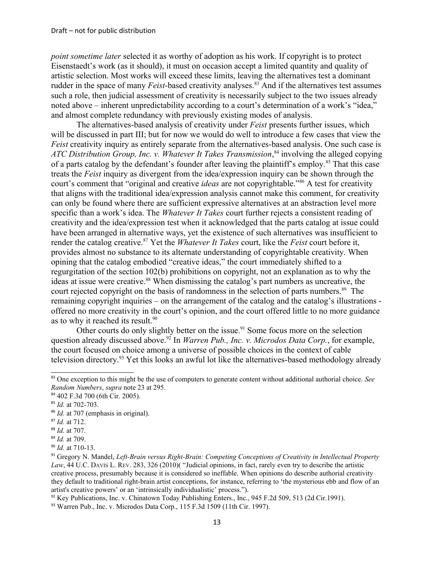*point sometime later* selected it as worthy of adoption as his work. If copyright is to protect Eisenstaedt's work (as it should), it must on occasion accept a limited quantity and quality of artistic selection. Most works will exceed these limits, leaving the alternatives test a dominant rudder in the space of many *Feist*-based creativity analyses.<sup>[83](#page-12-0)</sup> And if the alternatives test assumes such a role, then judicial assessment of creativity is necessarily subject to the two issues already noted above – inherent unpredictability according to a court's determination of a work's "idea," and almost complete redundancy with previously existing modes of analysis.

The alternatives-based analysis of creativity under *Feist* presents further issues, which will be discussed in part III; but for now we would do well to introduce a few cases that view the *Feist* creativity inquiry as entirely separate from the alternatives-based analysis. One such case is ATC Distribution Group, Inc. v. Whatever It Takes Transmission,<sup>[84](#page-12-1)</sup> involving the alleged copying of a parts catalog by the defendant's founder after leaving the plaintiff's employ.<sup>[85](#page-12-2)</sup> That this case treats the *Feist* inquiry as divergent from the idea/expression inquiry can be shown through the court's comment that "original and creative *ideas* are not copyrightable."<sup>[86](#page-12-3)</sup> A test for creativity that aligns with the traditional idea/expression analysis cannot make this comment, for creativity can only be found where there are sufficient expressive alternatives at an abstraction level more specific than a work's idea. The *Whatever It Takes* court further rejects a consistent reading of creativity and the idea/expression test when it acknowledged that the parts catalog at issue could have been arranged in alternative ways, yet the existence of such alternatives was insufficient to render the catalog creative.[87](#page-12-4) Yet the *Whatever It Takes* court, like the *Feist* court before it, provides almost no substance to its alternate understanding of copyrightable creativity. When opining that the catalog embodied "creative ideas," the court immediately shifted to a regurgitation of the section 102(b) prohibitions on copyright, not an explanation as to why the ideas at issue were creative.<sup>[88](#page-12-5)</sup> When dismissing the catalog's part numbers as uncreative, the court rejected copyright on the basis of randomness in the selection of parts numbers.<sup>[89](#page-12-6)</sup> The remaining copyright inquiries – on the arrangement of the catalog and the catalog's illustrations offered no more creativity in the court's opinion, and the court offered little to no more guidance as to why it reached its result.<sup>[90](#page-12-7)</sup>

Other courts do only slightly better on the issue.<sup>[91](#page-12-8)</sup> Some focus more on the selection question already discussed above.<sup>[92](#page-12-9)</sup> In *Warren Pub., Inc. v. Microdos Data Corp.*, for example, the court focused on choice among a universe of possible choices in the context of cable television directory.[93](#page-12-10) Yet this looks an awful lot like the alternatives-based methodology already

<span id="page-12-0"></span><sup>83</sup> One exception to this might be the use of computers to generate content without additional authorial choice. *See Random Numbers*, *supra* note 23 at 295.

<span id="page-12-1"></span><sup>84</sup> 402 F.3d 700 (6th Cir. 2005).

<span id="page-12-2"></span><sup>85</sup> *Id.* at 702-703.

<span id="page-12-3"></span><sup>&</sup>lt;sup>86</sup> *Id.* at 707 (emphasis in original).

<span id="page-12-4"></span><sup>87</sup> *Id.* at 712.

<span id="page-12-5"></span><sup>88</sup> *Id.* at 707.

<span id="page-12-6"></span><sup>89</sup> *Id.* at 709.

<span id="page-12-7"></span><sup>90</sup> *Id.* at 710-13.

<span id="page-12-8"></span><sup>91</sup> Gregory N. Mandel, *Left-Brain versus Right-Brain: Competing Conceptions of Creativity in Intellectual Property Law*, 44 U.C. DAVIS L. REV. 283, 326 (2010)( "Judicial opinions, in fact, rarely even try to describe the artistic creative process, presumably because it is considered so ineffable. When opinions do describe authorial creativity they default to traditional right-brain artist conceptions, for instance, referring to 'the mysterious ebb and flow of an artist's creative powers' or an 'intrinsically individualistic' process.").

<span id="page-12-9"></span><sup>92</sup> Key Publications, Inc. v. Chinatown Today Publishing Enters., Inc., 945 F.2d 509, 513 (2d Cir.1991).

<span id="page-12-10"></span><sup>93</sup> Warren Pub., Inc. v. Microdos Data Corp., 115 F.3d 1509 (11th Cir. 1997).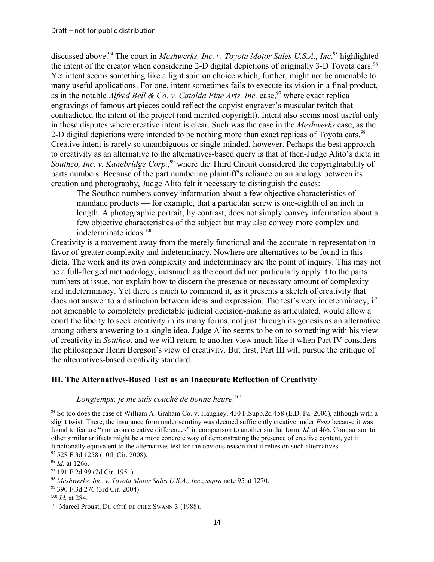discussed above.<sup>[94](#page-13-0)</sup> The court in *Meshwerks, Inc. v. Toyota Motor Sales U.S.A., Inc.*<sup>[95](#page-13-1)</sup> highlighted the intent of the creator when considering 2-D digital depictions of originally 3-D Toyota cars.<sup>[96](#page-13-2)</sup> Yet intent seems something like a light spin on choice which, further, might not be amenable to many useful applications. For one, intent sometimes fails to execute its vision in a final product, as in the notable *Alfred Bell & Co. v. Catalda Fine Arts, Inc.* case,  $97$  where exact replica engravings of famous art pieces could reflect the copyist engraver's muscular twitch that contradicted the intent of the project (and merited copyright). Intent also seems most useful only in those disputes where creative intent is clear. Such was the case in the *Meshwerks* case, as the 2-D digital depictions were intended to be nothing more than exact replicas of Toyota cars.<sup>[98](#page-13-4)</sup> Creative intent is rarely so unambiguous or single-minded, however. Perhaps the best approach to creativity as an alternative to the alternatives-based query is that of then-Judge Alito's dicta in Southco, Inc. v. Kanebridge Corp.,<sup>[99](#page-13-5)</sup> where the Third Circuit considered the copyrightability of parts numbers. Because of the part numbering plaintiff's reliance on an analogy between its creation and photography, Judge Alito felt it necessary to distinguish the cases:

The Southco numbers convey information about a few objective characteristics of mundane products — for example, that a particular screw is one-eighth of an inch in length. A photographic portrait, by contrast, does not simply convey information about a few objective characteristics of the subject but may also convey more complex and indeterminate ideas.[100](#page-13-6)

Creativity is a movement away from the merely functional and the accurate in representation in favor of greater complexity and indeterminacy. Nowhere are alternatives to be found in this dicta. The work and its own complexity and indeterminacy are the point of inquiry. This may not be a full-fledged methodology, inasmuch as the court did not particularly apply it to the parts numbers at issue, nor explain how to discern the presence or necessary amount of complexity and indeterminacy. Yet there is much to commend it, as it presents a sketch of creativity that does not answer to a distinction between ideas and expression. The test's very indeterminacy, if not amenable to completely predictable judicial decision-making as articulated, would allow a court the liberty to seek creativity in its many forms, not just through its genesis as an alternative among others answering to a single idea. Judge Alito seems to be on to something with his view of creativity in *Southco*, and we will return to another view much like it when Part IV considers the philosopher Henri Bergson's view of creativity. But first, Part III will pursue the critique of the alternatives-based creativity standard.

## **III. The Alternatives-Based Test as an Inaccurate Reflection of Creativity**

# *Longtemps, je me suis couché de bonne heure.*[101](#page-13-7)

<span id="page-13-0"></span><sup>&</sup>lt;sup>94</sup> So too does the case of William A. Graham Co. v. Haughey, 430 F.Supp.2d 458 (E.D. Pa. 2006), although with a slight twist. There, the insurance form under scrutiny was deemed sufficiently creative under *Feist* because it was found to feature "numerous creative differences" in comparison to another similar form. *Id.* at 466. Comparison to other similar artifacts might be a more concrete way of demonstrating the presence of creative content, yet it functionally equivalent to the alternatives test for the obvious reason that it relies on such alternatives. <sup>95</sup> 528 F.3d 1258 (10th Cir. 2008).

<span id="page-13-2"></span><span id="page-13-1"></span><sup>96</sup> *Id.* at 1266.

<span id="page-13-3"></span><sup>97</sup> 191 F.2d 99 (2d Cir. 1951).

<span id="page-13-4"></span><sup>98</sup> *Meshwerks, Inc. v. Toyota Motor Sales U.S.A., Inc*., *supra* note 95 at 1270.

<span id="page-13-5"></span><sup>99</sup> 390 F.3d 276 (3rd Cir. 2004).

<span id="page-13-6"></span><sup>100</sup> *Id.* at 284.

<span id="page-13-7"></span><sup>101</sup> Marcel Proust, DU CÔTÉ DE CHEZ SWANN 3 (1988).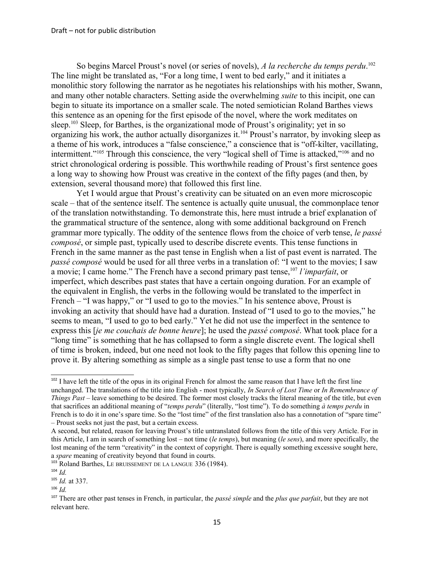So begins Marcel Proust's novel (or series of novels), *A la recherche du temps perdu*. [102](#page-14-0) The line might be translated as, "For a long time, I went to bed early," and it initiates a monolithic story following the narrator as he negotiates his relationships with his mother, Swann, and many other notable characters. Setting aside the overwhelming *suite* to this incipit, one can begin to situate its importance on a smaller scale. The noted semiotician Roland Barthes views this sentence as an opening for the first episode of the novel, where the work meditates on sleep.<sup>[103](#page-14-1)</sup> Sleep, for Barthes, is the organizational mode of Proust's originality; yet in so organizing his work, the author actually disorganizes it.<sup>[104](#page-14-2)</sup> Proust's narrator, by invoking sleep as a theme of his work, introduces a "false conscience," a conscience that is "off-kilter, vacillating, intermittent."[105](#page-14-3) Through this conscience, the very "logical shell of Time is attacked,"[106](#page-14-4) and no strict chronological ordering is possible. This worthwhile reading of Proust's first sentence goes a long way to showing how Proust was creative in the context of the fifty pages (and then, by extension, several thousand more) that followed this first line.

Yet I would argue that Proust's creativity can be situated on an even more microscopic scale – that of the sentence itself. The sentence is actually quite unusual, the commonplace tenor of the translation notwithstanding. To demonstrate this, here must intrude a brief explanation of the grammatical structure of the sentence, along with some additional background on French grammar more typically. The oddity of the sentence flows from the choice of verb tense, *le passé composé*, or simple past, typically used to describe discrete events. This tense functions in French in the same manner as the past tense in English when a list of past event is narrated. The *passé composé* would be used for all three verbs in a translation of: "I went to the movies; I saw a movie; I came home." The French have a second primary past tense,[107](#page-14-5) *l'imparfait*, or imperfect, which describes past states that have a certain ongoing duration. For an example of the equivalent in English, the verbs in the following would be translated to the imperfect in French – "I was happy," or "I used to go to the movies." In his sentence above, Proust is invoking an activity that should have had a duration. Instead of "I used to go to the movies," he seems to mean, "I used to go to bed early." Yet he did not use the imperfect in the sentence to express this [*je me couchais de bonne heure*]; he used the *passé composé*. What took place for a "long time" is something that he has collapsed to form a single discrete event. The logical shell of time is broken, indeed, but one need not look to the fifty pages that follow this opening line to prove it. By altering something as simple as a single past tense to use a form that no one

<span id="page-14-4"></span><sup>106</sup> *Id.*

<span id="page-14-0"></span><sup>&</sup>lt;sup>102</sup> I have left the title of the opus in its original French for almost the same reason that I have left the first line unchanged. The translations of the title into English - most typically, *In Search of Lost Time* or *In Remembrance of Things Past* – leave something to be desired. The former most closely tracks the literal meaning of the title, but even that sacrifices an additional meaning of "*temps perdu*" (literally, "lost time"). To do something *à temps perdu* in French is to do it in one's spare time. So the "lost time" of the first translation also has a connotation of "spare time" – Proust seeks not just the past, but a certain excess.

A second, but related, reason for leaving Proust's title untranslated follows from the title of this very Article. For in this Article, I am in search of something lost – not time (*le temps*), but meaning (*le sens*), and more specifically, the lost meaning of the term "creativity" in the context of copyright. There is equally something excessive sought here, a *spare* meaning of creativity beyond that found in courts.

<span id="page-14-1"></span><sup>&</sup>lt;sup>103</sup> Roland Barthes, LE BRUISSEMENT DE LA LANGUE 336 (1984).

<span id="page-14-2"></span><sup>104</sup> *Id.*

<span id="page-14-3"></span><sup>105</sup> *Id.* at 337.

<span id="page-14-5"></span><sup>107</sup> There are other past tenses in French, in particular, the *passé simple* and the *plus que parfait*, but they are not relevant here.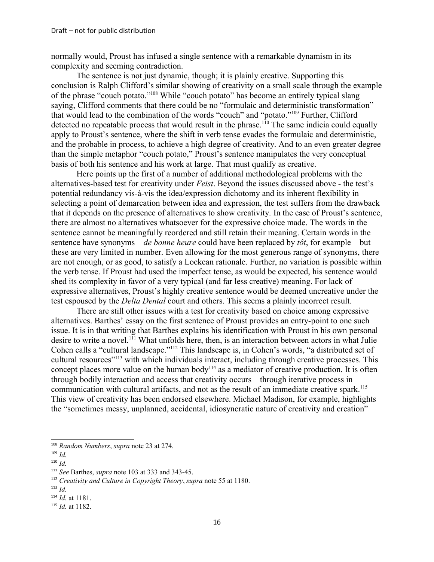normally would, Proust has infused a single sentence with a remarkable dynamism in its complexity and seeming contradiction.

The sentence is not just dynamic, though; it is plainly creative. Supporting this conclusion is Ralph Clifford's similar showing of creativity on a small scale through the example of the phrase "couch potato."[108](#page-15-0) While "couch potato" has become an entirely typical slang saying, Clifford comments that there could be no "formulaic and deterministic transformation" that would lead to the combination of the words "couch" and "potato."[109](#page-15-1) Further, Clifford detected no repeatable process that would result in the phrase.<sup>[110](#page-15-2)</sup> The same indicia could equally apply to Proust's sentence, where the shift in verb tense evades the formulaic and deterministic, and the probable in process, to achieve a high degree of creativity. And to an even greater degree than the simple metaphor "couch potato," Proust's sentence manipulates the very conceptual basis of both his sentence and his work at large. That must qualify as creative.

Here points up the first of a number of additional methodological problems with the alternatives-based test for creativity under *Feist*. Beyond the issues discussed above - the test's potential redundancy vis-à-vis the idea/expression dichotomy and its inherent flexibility in selecting a point of demarcation between idea and expression, the test suffers from the drawback that it depends on the presence of alternatives to show creativity. In the case of Proust's sentence, there are almost no alternatives whatsoever for the expressive choice made. The words in the sentence cannot be meaningfully reordered and still retain their meaning. Certain words in the sentence have synonyms – *de bonne heure* could have been replaced by *tôt*, for example – but these are very limited in number. Even allowing for the most generous range of synonyms, there are not enough, or as good, to satisfy a Lockean rationale. Further, no variation is possible within the verb tense. If Proust had used the imperfect tense, as would be expected, his sentence would shed its complexity in favor of a very typical (and far less creative) meaning. For lack of expressive alternatives, Proust's highly creative sentence would be deemed uncreative under the test espoused by the *Delta Dental* court and others. This seems a plainly incorrect result.

There are still other issues with a test for creativity based on choice among expressive alternatives. Barthes' essay on the first sentence of Proust provides an entry-point to one such issue. It is in that writing that Barthes explains his identification with Proust in his own personal desire to write a novel.<sup>[111](#page-15-3)</sup> What unfolds here, then, is an interaction between actors in what Julie Cohen calls a "cultural landscape."[112](#page-15-4) This landscape is, in Cohen's words, "a distributed set of cultural resources"[113](#page-15-5) with which individuals interact, including through creative processes. This concept places more value on the human body<sup>[114](#page-15-6)</sup> as a mediator of creative production. It is often through bodily interaction and access that creativity occurs – through iterative process in communication with cultural artifacts, and not as the result of an immediate creative spark.<sup>[115](#page-15-7)</sup> This view of creativity has been endorsed elsewhere. Michael Madison, for example, highlights the "sometimes messy, unplanned, accidental, idiosyncratic nature of creativity and creation"

<span id="page-15-0"></span><sup>108</sup> *Random Numbers*, *supra* note 23 at 274.

<span id="page-15-1"></span> $109$  *Id.* 

<span id="page-15-2"></span> $110$  *Id.* 

<span id="page-15-3"></span><sup>111</sup> *See* Barthes, *supra* note 103 at 333 and 343-45.

<span id="page-15-4"></span><sup>112</sup> *Creativity and Culture in Copyright Theory*, *supra* note 55 at 1180.

<span id="page-15-5"></span> $113$  *Id.* 

<span id="page-15-6"></span><sup>114</sup> *Id.* at 1181.

<span id="page-15-7"></span><sup>115</sup> *Id.* at 1182.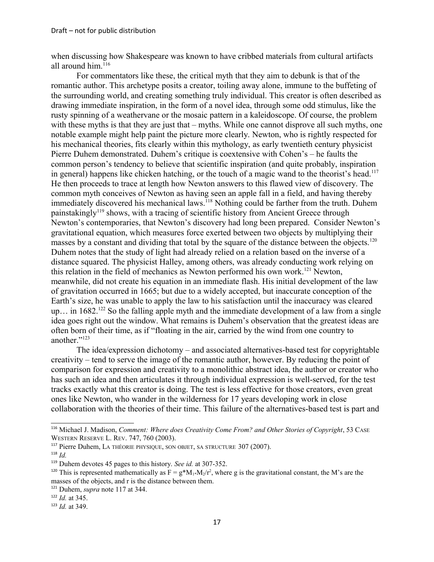when discussing how Shakespeare was known to have cribbed materials from cultural artifacts all around him. $116$ 

For commentators like these, the critical myth that they aim to debunk is that of the romantic author. This archetype posits a creator, toiling away alone, immune to the buffeting of the surrounding world, and creating something truly individual. This creator is often described as drawing immediate inspiration, in the form of a novel idea, through some odd stimulus, like the rusty spinning of a weathervane or the mosaic pattern in a kaleidoscope. Of course, the problem with these myths is that they are just that – myths. While one cannot disprove all such myths, one notable example might help paint the picture more clearly. Newton, who is rightly respected for his mechanical theories, fits clearly within this mythology, as early twentieth century physicist Pierre Duhem demonstrated. Duhem's critique is coextensive with Cohen's – he faults the common person's tendency to believe that scientific inspiration (and quite probably, inspiration in general) happens like chicken hatching, or the touch of a magic wand to the theorist's head.<sup>[117](#page-16-1)</sup> He then proceeds to trace at length how Newton answers to this flawed view of discovery. The common myth conceives of Newton as having seen an apple fall in a field, and having thereby immediately discovered his mechanical laws.<sup>[118](#page-16-2)</sup> Nothing could be farther from the truth. Duhem painstakingly<sup>[119](#page-16-3)</sup> shows, with a tracing of scientific history from Ancient Greece through Newton's contemporaries, that Newton's discovery had long been prepared. Consider Newton's gravitational equation, which measures force exerted between two objects by multiplying their masses by a constant and dividing that total by the square of the distance between the objects.<sup>[120](#page-16-4)</sup> Duhem notes that the study of light had already relied on a relation based on the inverse of a distance squared. The physicist Halley, among others, was already conducting work relying on this relation in the field of mechanics as Newton performed his own work.[121](#page-16-5) Newton, meanwhile, did not create his equation in an immediate flash. His initial development of the law of gravitation occurred in 1665; but due to a widely accepted, but inaccurate conception of the Earth's size, he was unable to apply the law to his satisfaction until the inaccuracy was cleared up... in  $1682$ <sup>[122](#page-16-6)</sup> So the falling apple myth and the immediate development of a law from a single idea goes right out the window. What remains is Duhem's observation that the greatest ideas are often born of their time, as if "floating in the air, carried by the wind from one country to another."[123](#page-16-7)

The idea/expression dichotomy – and associated alternatives-based test for copyrightable creativity – tend to serve the image of the romantic author, however. By reducing the point of comparison for expression and creativity to a monolithic abstract idea, the author or creator who has such an idea and then articulates it through individual expression is well-served, for the test tracks exactly what this creator is doing. The test is less effective for those creators, even great ones like Newton, who wander in the wilderness for 17 years developing work in close collaboration with the theories of their time. This failure of the alternatives-based test is part and

<span id="page-16-0"></span><sup>&</sup>lt;sup>116</sup> Michael J. Madison, *Comment: Where does Creativity Come From? and Other Stories of Copyright*, 53 CASE WESTERN RESERVE L. REV. 747, 760 (2003).

<span id="page-16-1"></span><sup>117</sup> Pierre Duhem, LA THÉORIE PHYSIQUE, SON OBJET, SA STRUCTURE 307 (2007).

<span id="page-16-2"></span> $118$  *Id.* 

<span id="page-16-3"></span><sup>119</sup> Duhem devotes 45 pages to this history. *See id.* at 307-352.

<span id="page-16-4"></span><sup>&</sup>lt;sup>120</sup> This is represented mathematically as  $F = g^*M_1 M_2/r^2$ , where g is the gravitational constant, the M's are the masses of the objects, and r is the distance between them.

<span id="page-16-5"></span><sup>121</sup> Duhem, *supra* note 117 at 344.

<span id="page-16-6"></span><sup>122</sup> *Id.* at 345.

<span id="page-16-7"></span><sup>123</sup> *Id.* at 349.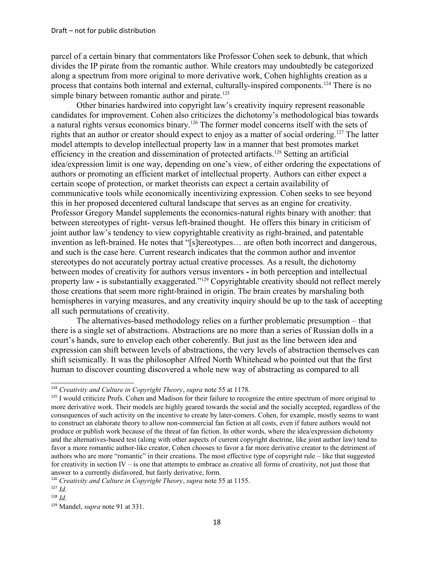parcel of a certain binary that commentators like Professor Cohen seek to debunk, that which divides the IP pirate from the romantic author. While creators may undoubtedly be categorized along a spectrum from more original to more derivative work, Cohen highlights creation as a process that contains both internal and external, culturally-inspired components.[124](#page-17-0) There is no simple binary between romantic author and pirate.<sup>[125](#page-17-1)</sup>

Other binaries hardwired into copyright law's creativity inquiry represent reasonable candidates for improvement. Cohen also criticizes the dichotomy's methodological bias towards a natural rights versus economics binary.[126](#page-17-2) The former model concerns itself with the sets of rights that an author or creator should expect to enjoy as a matter of social ordering.<sup>[127](#page-17-3)</sup> The latter model attempts to develop intellectual property law in a manner that best promotes market efficiency in the creation and dissemination of protected artifacts.[128](#page-17-4) Setting an artificial idea/expression limit is one way, depending on one's view, of either ordering the expectations of authors or promoting an efficient market of intellectual property. Authors can either expect a certain scope of protection, or market theorists can expect a certain availability of communicative tools while economically incentivizing expression. Cohen seeks to see beyond this in her proposed decentered cultural landscape that serves as an engine for creativity. Professor Gregory Mandel supplements the economics-natural rights binary with another: that between stereotypes of right- versus left-brained thought. He offers this binary in criticism of joint author law's tendency to view copyrightable creativity as right-brained, and patentable invention as left-brained. He notes that "[s]tereotypes… are often both incorrect and dangerous, and such is the case here. Current research indicates that the common author and inventor stereotypes do not accurately portray actual creative processes. As a result, the dichotomy between modes of creativity for authors versus inventors **-** in both perception and intellectual property law - is substantially exaggerated."<sup>[129](#page-17-5)</sup> Copyrightable creativity should not reflect merely those creations that seem more right-brained in origin. The brain creates by marshaling both hemispheres in varying measures, and any creativity inquiry should be up to the task of accepting all such permutations of creativity.

The alternatives-based methodology relies on a further problematic presumption – that there is a single set of abstractions. Abstractions are no more than a series of Russian dolls in a court's hands, sure to envelop each other coherently. But just as the line between idea and expression can shift between levels of abstractions, the very levels of abstraction themselves can shift seismically. It was the philosopher Alfred North Whitehead who pointed out that the first human to discover counting discovered a whole new way of abstracting as compared to all

<span id="page-17-0"></span><sup>124</sup> *Creativity and Culture in Copyright Theory*, *supra* note 55 at 1178.

<span id="page-17-1"></span><sup>&</sup>lt;sup>125</sup> I would criticize Profs. Cohen and Madison for their failure to recognize the entire spectrum of more original to more derivative work. Their models are highly geared towards the social and the socially accepted, regardless of the consequences of such activity on the incentive to create by later-comers. Cohen, for example, mostly seems to want to construct an elaborate theory to allow non-commercial fan fiction at all costs, even if future authors would not produce or publish work because of the threat of fan fiction. In other words, where the idea/expression dichotomy and the alternatives-based test (along with other aspects of current copyright doctrine, like joint author law) tend to favor a more romantic author-like creator, Cohen chooses to favor a far more derivative creator to the detriment of authors who are more "romantic" in their creations. The most effective type of copyright rule – like that suggested for creativity in section IV – is one that attempts to embrace as creative all forms of creativity, not just those that answer to a currently disfavored, but fairly derivative, form.

<span id="page-17-2"></span><sup>126</sup> *Creativity and Culture in Copyright Theory*, *supra* note 55 at 1155.

<span id="page-17-3"></span> $127$  *Id.* 

<span id="page-17-4"></span> $128$  *Id.* 

<span id="page-17-5"></span><sup>129</sup> Mandel, *supra* note 91 at 331.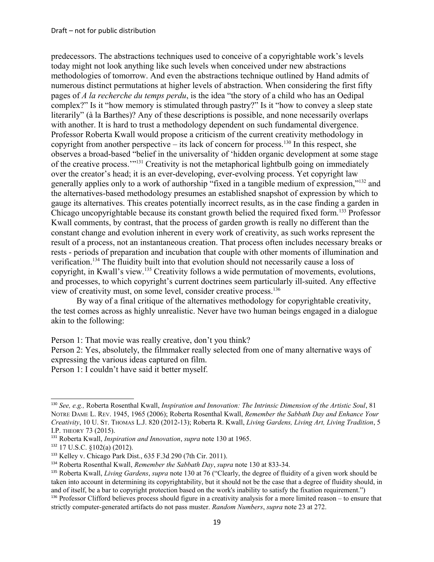predecessors. The abstractions techniques used to conceive of a copyrightable work's levels today might not look anything like such levels when conceived under new abstractions methodologies of tomorrow. And even the abstractions technique outlined by Hand admits of numerous distinct permutations at higher levels of abstraction. When considering the first fifty pages of *A la recherche du temps perdu*, is the idea "the story of a child who has an Oedipal complex?" Is it "how memory is stimulated through pastry?" Is it "how to convey a sleep state literarily" (à la Barthes)? Any of these descriptions is possible, and none necessarily overlaps with another. It is hard to trust a methodology dependent on such fundamental divergence. Professor Roberta Kwall would propose a criticism of the current creativity methodology in copyright from another perspective – its lack of concern for process.<sup>[130](#page-18-0)</sup> In this respect, she observes a broad-based "belief in the universality of 'hidden organic development at some stage of the creative process.'"[131](#page-18-1) Creativity is not the metaphorical lightbulb going on immediately over the creator's head; it is an ever-developing, ever-evolving process. Yet copyright law generally applies only to a work of authorship "fixed in a tangible medium of expression,"[132](#page-18-2) and the alternatives-based methodology presumes an established snapshot of expression by which to gauge its alternatives. This creates potentially incorrect results, as in the case finding a garden in Chicago uncopyrightable because its constant growth belied the required fixed form.<sup>[133](#page-18-3)</sup> Professor Kwall comments, by contrast, that the process of garden growth is really no different than the constant change and evolution inherent in every work of creativity, as such works represent the result of a process, not an instantaneous creation. That process often includes necessary breaks or rests - periods of preparation and incubation that couple with other moments of illumination and verification.[134](#page-18-4) The fluidity built into that evolution should not necessarily cause a loss of copyright, in Kwall's view.[135](#page-18-5) Creativity follows a wide permutation of movements, evolutions, and processes, to which copyright's current doctrines seem particularly ill-suited. Any effective view of creativity must, on some level, consider creative process.<sup>[136](#page-18-6)</sup>

By way of a final critique of the alternatives methodology for copyrightable creativity, the test comes across as highly unrealistic. Never have two human beings engaged in a dialogue akin to the following:

Person 1: That movie was really creative, don't you think?

Person 2: Yes, absolutely, the filmmaker really selected from one of many alternative ways of expressing the various ideas captured on film.

Person 1: I couldn't have said it better myself.

<span id="page-18-0"></span><sup>130</sup> *See, e.g.,* Roberta Rosenthal Kwall, *Inspiration and Innovation: The Intrinsic Dimension of the Artistic Soul*, 81 NOTRE DAME L. REV. 1945, 1965 (2006); Roberta Rosenthal Kwall, *Remember the Sabbath Day and Enhance Your Creativity*, 10 U. ST. THOMAS L.J. 820 (2012-13); Roberta R. Kwall, *Living Gardens, Living Art, Living Tradition*, 5 I.P. THEORY 73 (2015).

<span id="page-18-1"></span><sup>131</sup> Roberta Kwall, *Inspiration and Innovation*, *supra* note 130 at 1965.

<span id="page-18-2"></span><sup>132</sup> 17 U.S.C. §102(a) (2012).

<span id="page-18-3"></span><sup>133</sup> Kelley v. Chicago Park Dist., 635 F.3d 290 (7th Cir. 2011).

<span id="page-18-4"></span><sup>134</sup> Roberta Rosenthal Kwall, *Remember the Sabbath Day*, *supra* note 130 at 833-34.

<span id="page-18-5"></span><sup>135</sup> Roberta Kwall, *Living Gardens*, *supra* note 130 at 76 ("Clearly, the degree of fluidity of a given work should be taken into account in determining its copyrightability, but it should not be the case that a degree of fluidity should, in and of itself, be a bar to copyright protection based on the work's inability to satisfy the fixation requirement.")

<span id="page-18-6"></span><sup>&</sup>lt;sup>136</sup> Professor Clifford believes process should figure in a creativity analysis for a more limited reason – to ensure that strictly computer-generated artifacts do not pass muster. *Random Numbers*, *supra* note 23 at 272.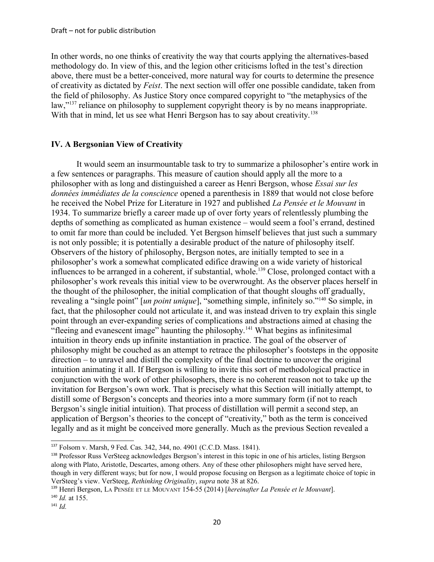In other words, no one thinks of creativity the way that courts applying the alternatives-based methodology do. In view of this, and the legion other criticisms lofted in the test's direction above, there must be a better-conceived, more natural way for courts to determine the presence of creativity as dictated by *Feist*. The next section will offer one possible candidate, taken from the field of philosophy. As Justice Story once compared copyright to "the metaphysics of the law,"<sup>[137](#page-19-0)</sup> reliance on philosophy to supplement copyright theory is by no means inappropriate. With that in mind, let us see what Henri Bergson has to say about creativity.<sup>[138](#page-19-1)</sup>

# **IV. A Bergsonian View of Creativity**

It would seem an insurmountable task to try to summarize a philosopher's entire work in a few sentences or paragraphs. This measure of caution should apply all the more to a philosopher with as long and distinguished a career as Henri Bergson, whose *Essai sur les données immédiates de la conscience* opened a parenthesis in 1889 that would not close before he received the Nobel Prize for Literature in 1927 and published *La Pensée et le Mouvant* in 1934. To summarize briefly a career made up of over forty years of relentlessly plumbing the depths of something as complicated as human existence – would seem a fool's errand, destined to omit far more than could be included. Yet Bergson himself believes that just such a summary is not only possible; it is potentially a desirable product of the nature of philosophy itself. Observers of the history of philosophy, Bergson notes, are initially tempted to see in a philosopher's work a somewhat complicated edifice drawing on a wide variety of historical influences to be arranged in a coherent, if substantial, whole.<sup>[139](#page-19-2)</sup> Close, prolonged contact with a philosopher's work reveals this initial view to be overwrought. As the observer places herself in the thought of the philosopher, the initial complication of that thought sloughs off gradually, revealing a "single point" [*un point unique*], "something simple, infinitely so."[140](#page-19-3) So simple, in fact, that the philosopher could not articulate it, and was instead driven to try explain this single point through an ever-expanding series of complications and abstractions aimed at chasing the "fleeing and evanescent image" haunting the philosophy.[141](#page-19-4) What begins as infinitesimal intuition in theory ends up infinite instantiation in practice. The goal of the observer of philosophy might be couched as an attempt to retrace the philosopher's footsteps in the opposite direction – to unravel and distill the complexity of the final doctrine to uncover the original intuition animating it all. If Bergson is willing to invite this sort of methodological practice in conjunction with the work of other philosophers, there is no coherent reason not to take up the invitation for Bergson's own work. That is precisely what this Section will initially attempt, to distill some of Bergson's concepts and theories into a more summary form (if not to reach Bergson's single initial intuition). That process of distillation will permit a second step, an application of Bergson's theories to the concept of "creativity," both as the term is conceived legally and as it might be conceived more generally. Much as the previous Section revealed a

<span id="page-19-0"></span><sup>137</sup> Folsom v. Marsh, 9 Fed. Cas. 342, 344, no. 4901 (C.C.D. Mass. 1841).

<span id="page-19-1"></span><sup>138</sup> Professor Russ VerSteeg acknowledges Bergson's interest in this topic in one of his articles, listing Bergson along with Plato, Aristotle, Descartes, among others. Any of these other philosophers might have served here, though in very different ways; but for now, I would propose focusing on Bergson as a legitimate choice of topic in VerSteeg's view. VerSteeg, *Rethinking Originality*, *supra* note 38 at 826.

<span id="page-19-2"></span><sup>139</sup> Henri Bergson, LA PENSÉE ET LE MOUVANT 154-55 (2014) [*hereinafter La Pensée et le Mouvant*]. <sup>140</sup> *Id.* at 155.

<span id="page-19-4"></span><span id="page-19-3"></span> $141$  *Id.*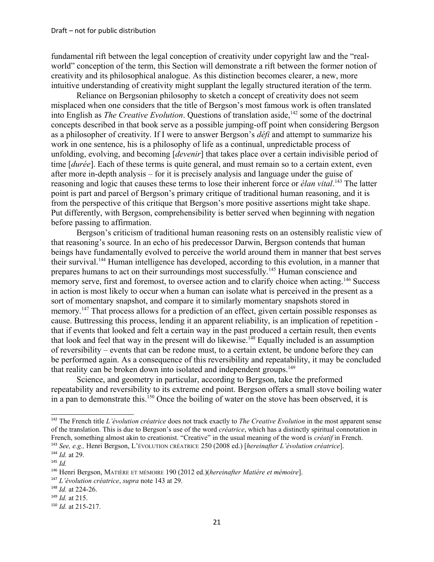fundamental rift between the legal conception of creativity under copyright law and the "realworld" conception of the term, this Section will demonstrate a rift between the former notion of creativity and its philosophical analogue. As this distinction becomes clearer, a new, more intuitive understanding of creativity might supplant the legally structured iteration of the term.

Reliance on Bergsonian philosophy to sketch a concept of creativity does not seem misplaced when one considers that the title of Bergson's most famous work is often translated into English as *The Creative Evolution*. Questions of translation aside,<sup>[142](#page-20-0)</sup> some of the doctrinal concepts described in that book serve as a possible jumping-off point when considering Bergson as a philosopher of creativity. If I were to answer Bergson's *défi* and attempt to summarize his work in one sentence, his is a philosophy of life as a continual, unpredictable process of unfolding, evolving, and becoming [*devenir*] that takes place over a certain indivisible period of time [*durée*]. Each of these terms is quite general, and must remain so to a certain extent, even after more in-depth analysis – for it is precisely analysis and language under the guise of reasoning and logic that causes these terms to lose their inherent force or *élan vital*. [143](#page-20-1) The latter point is part and parcel of Bergson's primary critique of traditional human reasoning, and it is from the perspective of this critique that Bergson's more positive assertions might take shape. Put differently, with Bergson, comprehensibility is better served when beginning with negation before passing to affirmation.

Bergson's criticism of traditional human reasoning rests on an ostensibly realistic view of that reasoning's source. In an echo of his predecessor Darwin, Bergson contends that human beings have fundamentally evolved to perceive the world around them in manner that best serves their survival.[144](#page-20-2) Human intelligence has developed, according to this evolution, in a manner that prepares humans to act on their surroundings most successfully.<sup>[145](#page-20-3)</sup> Human conscience and memory serve, first and foremost, to oversee action and to clarify choice when acting.<sup>[146](#page-20-4)</sup> Success in action is most likely to occur when a human can isolate what is perceived in the present as a sort of momentary snapshot, and compare it to similarly momentary snapshots stored in memory.<sup>[147](#page-20-5)</sup> That process allows for a prediction of an effect, given certain possible responses as cause. Buttressing this process, lending it an apparent reliability, is an implication of repetition that if events that looked and felt a certain way in the past produced a certain result, then events that look and feel that way in the present will do likewise.<sup>[148](#page-20-6)</sup> Equally included is an assumption of reversibility – events that can be redone must, to a certain extent, be undone before they can be performed again. As a consequence of this reversibility and repeatability, it may be concluded that reality can be broken down into isolated and independent groups.<sup>[149](#page-20-7)</sup>

Science, and geometry in particular, according to Bergson, take the preformed repeatability and reversibility to its extreme end point. Bergson offers a small stove boiling water in a pan to demonstrate this.[150](#page-20-8) Once the boiling of water on the stove has been observed, it is

<span id="page-20-0"></span><sup>142</sup> The French title *L'évolution créatrice* does not track exactly to *The Creative Evolution* in the most apparent sense of the translation. This is due to Bergson's use of the word *créatrice*, which has a distinctly spiritual connotation in French, something almost akin to creationist. "Creative" in the usual meaning of the word is *créatif* in French. <sup>143</sup> *See, e.g.,* Henri Bergson, L'ÉVOLUTION CRÉATRICE 250 (2008 ed.) [*hereinafter L'évolution créatrice*].

<span id="page-20-2"></span><span id="page-20-1"></span><sup>144</sup> *Id.* at 29.

<span id="page-20-3"></span> $145$  *Id.* 

<span id="page-20-4"></span><sup>146</sup> Henri Bergson, MATIÈRE ET MÉMOIRE 190 (2012 ed.)(*hereinafter Matière et mémoire*].

<span id="page-20-5"></span><sup>147</sup> *L'évolution créatrice*, *supra* note 143 at 29.

<span id="page-20-6"></span><sup>148</sup> *Id.* at 224-26.

<span id="page-20-7"></span><sup>149</sup> *Id.* at 215.

<span id="page-20-8"></span><sup>150</sup> *Id.* at 215-217.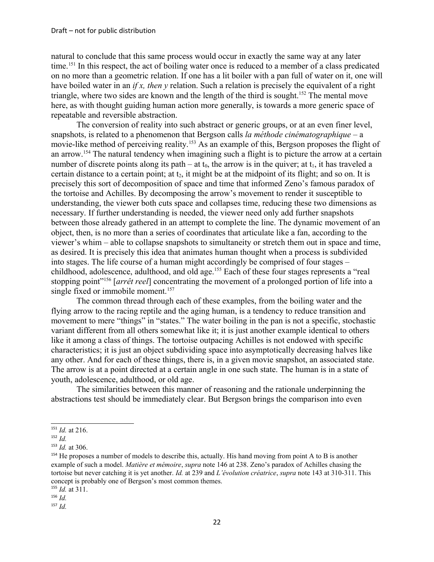natural to conclude that this same process would occur in exactly the same way at any later time.<sup>[151](#page-21-0)</sup> In this respect, the act of boiling water once is reduced to a member of a class predicated on no more than a geometric relation. If one has a lit boiler with a pan full of water on it, one will have boiled water in an *if x, then y* relation. Such a relation is precisely the equivalent of a right triangle, where two sides are known and the length of the third is sought.<sup>[152](#page-21-1)</sup> The mental move here, as with thought guiding human action more generally, is towards a more generic space of repeatable and reversible abstraction.

The conversion of reality into such abstract or generic groups, or at an even finer level, snapshots, is related to a phenomenon that Bergson calls *la méthode cinématographique* – a movie-like method of perceiving reality.<sup>[153](#page-21-2)</sup> As an example of this, Bergson proposes the flight of an arrow.[154](#page-21-3) The natural tendency when imagining such a flight is to picture the arrow at a certain number of discrete points along its path – at  $t_0$ , the arrow is in the quiver; at  $t_1$ , it has traveled a certain distance to a certain point; at  $t_2$ , it might be at the midpoint of its flight; and so on. It is precisely this sort of decomposition of space and time that informed Zeno's famous paradox of the tortoise and Achilles. By decomposing the arrow's movement to render it susceptible to understanding, the viewer both cuts space and collapses time, reducing these two dimensions as necessary. If further understanding is needed, the viewer need only add further snapshots between those already gathered in an attempt to complete the line. The dynamic movement of an object, then, is no more than a series of coordinates that articulate like a fan, according to the viewer's whim – able to collapse snapshots to simultaneity or stretch them out in space and time, as desired. It is precisely this idea that animates human thought when a process is subdivided into stages. The life course of a human might accordingly be comprised of four stages – childhood, adolescence, adulthood, and old age.[155](#page-21-4) Each of these four stages represents a "real stopping point"[156](#page-21-5) [*arrêt reel*] concentrating the movement of a prolonged portion of life into a single fixed or immobile moment.<sup>[157](#page-21-6)</sup>

The common thread through each of these examples, from the boiling water and the flying arrow to the racing reptile and the aging human, is a tendency to reduce transition and movement to mere "things" in "states." The water boiling in the pan is not a specific, stochastic variant different from all others somewhat like it; it is just another example identical to others like it among a class of things. The tortoise outpacing Achilles is not endowed with specific characteristics; it is just an object subdividing space into asymptotically decreasing halves like any other. And for each of these things, there is, in a given movie snapshot, an associated state. The arrow is at a point directed at a certain angle in one such state. The human is in a state of youth, adolescence, adulthood, or old age.

The similarities between this manner of reasoning and the rationale underpinning the abstractions test should be immediately clear. But Bergson brings the comparison into even

<span id="page-21-0"></span><sup>151</sup> *Id.* at 216.

<span id="page-21-1"></span> $152$  *Id.* 

<span id="page-21-2"></span><sup>153</sup> *Id.* at 306.

<span id="page-21-3"></span><sup>&</sup>lt;sup>154</sup> He proposes a number of models to describe this, actually. His hand moving from point A to B is another example of such a model. *Matière et mémoire*, *supra* note 146 at 238. Zeno's paradox of Achilles chasing the tortoise but never catching it is yet another. *Id.* at 239 and *L'évolution créatrice*, *supra* note 143 at 310-311. This concept is probably one of Bergson's most common themes.

<span id="page-21-4"></span><sup>155</sup> *Id.* at 311.

<span id="page-21-5"></span><sup>156</sup> *Id.*

<span id="page-21-6"></span><sup>157</sup> *Id.*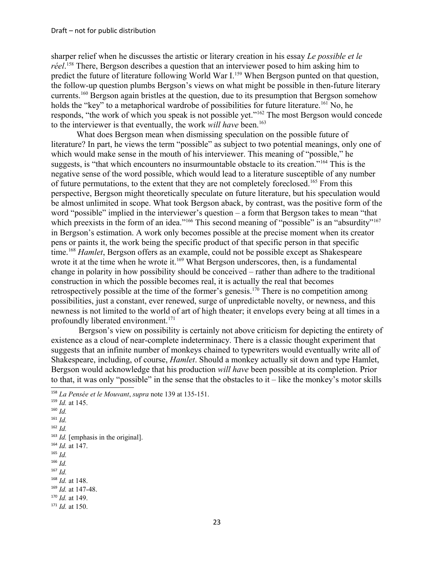sharper relief when he discusses the artistic or literary creation in his essay *Le possible et le réel*. [158](#page-22-0) There, Bergson describes a question that an interviewer posed to him asking him to predict the future of literature following World War I.<sup>[159](#page-22-1)</sup> When Bergson punted on that question, the follow-up question plumbs Bergson's views on what might be possible in then-future literary currents.[160](#page-22-2) Bergson again bristles at the question, due to its presumption that Bergson somehow holds the "key" to a metaphorical wardrobe of possibilities for future literature.<sup>[161](#page-22-3)</sup> No, he responds, "the work of which you speak is not possible yet."[162](#page-22-4) The most Bergson would concede to the interviewer is that eventually, the work *will have* been.<sup>[163](#page-22-5)</sup>

What does Bergson mean when dismissing speculation on the possible future of literature? In part, he views the term "possible" as subject to two potential meanings, only one of which would make sense in the mouth of his interviewer. This meaning of "possible," he suggests, is "that which encounters no insurmountable obstacle to its creation."[164](#page-22-6) This is the negative sense of the word possible, which would lead to a literature susceptible of any number of future permutations, to the extent that they are not completely foreclosed.[165](#page-22-7) From this perspective, Bergson might theoretically speculate on future literature, but his speculation would be almost unlimited in scope. What took Bergson aback, by contrast, was the positive form of the word "possible" implied in the interviewer's question – a form that Bergson takes to mean "that which preexists in the form of an idea."<sup>[166](#page-22-8)</sup> This second meaning of "possible" is an "absurdity"<sup>[167](#page-22-9)</sup> in Bergson's estimation. A work only becomes possible at the precise moment when its creator pens or paints it, the work being the specific product of that specific person in that specific time.<sup>[168](#page-22-10)</sup> *Hamlet*, Bergson offers as an example, could not be possible except as Shakespeare wrote it at the time when he wrote it.<sup>[169](#page-22-11)</sup> What Bergson underscores, then, is a fundamental change in polarity in how possibility should be conceived – rather than adhere to the traditional construction in which the possible becomes real, it is actually the real that becomes retrospectively possible at the time of the former's genesis.<sup>[170](#page-22-12)</sup> There is no competition among possibilities, just a constant, ever renewed, surge of unpredictable novelty, or newness, and this newness is not limited to the world of art of high theater; it envelops every being at all times in a profoundly liberated environment.<sup>[171](#page-22-13)</sup>

 Bergson's view on possibility is certainly not above criticism for depicting the entirety of existence as a cloud of near-complete indeterminacy. There is a classic thought experiment that suggests that an infinite number of monkeys chained to typewriters would eventually write all of Shakespeare, including, of course, *Hamlet*. Should a monkey actually sit down and type Hamlet, Bergson would acknowledge that his production *will have* been possible at its completion. Prior to that, it was only "possible" in the sense that the obstacles to it – like the monkey's motor skills

<span id="page-22-0"></span><sup>158</sup> *La Pensée et le Mouvant*, *supra* note 139 at 135-151.

<span id="page-22-6"></span><span id="page-22-5"></span><span id="page-22-4"></span><span id="page-22-3"></span><span id="page-22-2"></span><span id="page-22-1"></span><sup>159</sup> *Id.* at 145. <sup>160</sup> *Id.*   $161$  *Id.* <sup>162</sup> *Id.* <sup>163</sup> *Id.* [emphasis in the original]. <sup>164</sup> *Id.* at 147. <sup>165</sup> *Id.*   $166$  *Id.* <sup>167</sup> *Id.*  <sup>168</sup> *Id.* at 148. <sup>169</sup> *Id.* at 147-48. <sup>170</sup> *Id.* at 149.

<span id="page-22-13"></span><span id="page-22-12"></span><span id="page-22-11"></span><span id="page-22-10"></span><span id="page-22-9"></span><span id="page-22-8"></span><span id="page-22-7"></span><sup>171</sup> *Id.* at 150.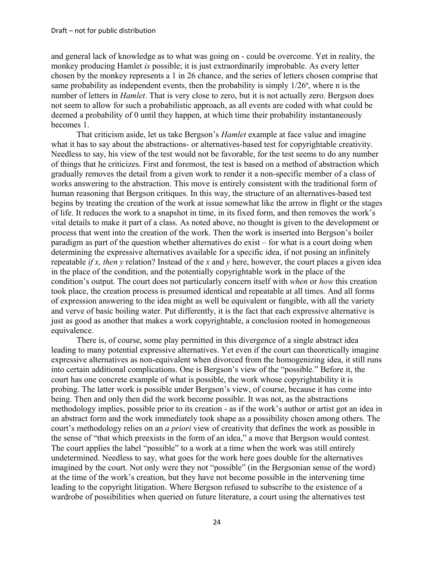and general lack of knowledge as to what was going on - could be overcome. Yet in reality, the monkey producing Hamlet *is* possible; it is just extraordinarily improbable. As every letter chosen by the monkey represents a 1 in 26 chance, and the series of letters chosen comprise that same probability as independent events, then the probability is simply  $1/26^n$ , where n is the number of letters in *Hamlet*. That is very close to zero, but it is not actually zero. Bergson does not seem to allow for such a probabilistic approach, as all events are coded with what could be deemed a probability of 0 until they happen, at which time their probability instantaneously becomes 1.

That criticism aside, let us take Bergson's *Hamlet* example at face value and imagine what it has to say about the abstractions- or alternatives-based test for copyrightable creativity. Needless to say, his view of the test would not be favorable, for the test seems to do any number of things that he criticizes. First and foremost, the test is based on a method of abstraction which gradually removes the detail from a given work to render it a non-specific member of a class of works answering to the abstraction. This move is entirely consistent with the traditional form of human reasoning that Bergson critiques. In this way, the structure of an alternatives-based test begins by treating the creation of the work at issue somewhat like the arrow in flight or the stages of life. It reduces the work to a snapshot in time, in its fixed form, and then removes the work's vital details to make it part of a class. As noted above, no thought is given to the development or process that went into the creation of the work. Then the work is inserted into Bergson's boiler paradigm as part of the question whether alternatives do exist – for what is a court doing when determining the expressive alternatives available for a specific idea, if not posing an infinitely repeatable *if x, then y* relation? Instead of the *x* and *y* here, however, the court places a given idea in the place of the condition, and the potentially copyrightable work in the place of the condition's output. The court does not particularly concern itself with *when* or *how* this creation took place, the creation process is presumed identical and repeatable at all times. And all forms of expression answering to the idea might as well be equivalent or fungible, with all the variety and verve of basic boiling water. Put differently, it is the fact that each expressive alternative is just as good as another that makes a work copyrightable, a conclusion rooted in homogeneous equivalence.

There is, of course, some play permitted in this divergence of a single abstract idea leading to many potential expressive alternatives. Yet even if the court can theoretically imagine expressive alternatives as non-equivalent when divorced from the homogenizing idea, it still runs into certain additional complications. One is Bergson's view of the "possible." Before it, the court has one concrete example of what is possible, the work whose copyrightability it is probing. The latter work is possible under Bergson's view, of course, because it has come into being. Then and only then did the work become possible. It was not, as the abstractions methodology implies, possible prior to its creation - as if the work's author or artist got an idea in an abstract form and the work immediately took shape as a possibility chosen among others. The court's methodology relies on an *a priori* view of creativity that defines the work as possible in the sense of "that which preexists in the form of an idea," a move that Bergson would contest. The court applies the label "possible" to a work at a time when the work was still entirely undetermined. Needless to say, what goes for the work here goes double for the alternatives imagined by the court. Not only were they not "possible" (in the Bergsonian sense of the word) at the time of the work's creation, but they have not become possible in the intervening time leading to the copyright litigation. Where Bergson refused to subscribe to the existence of a wardrobe of possibilities when queried on future literature, a court using the alternatives test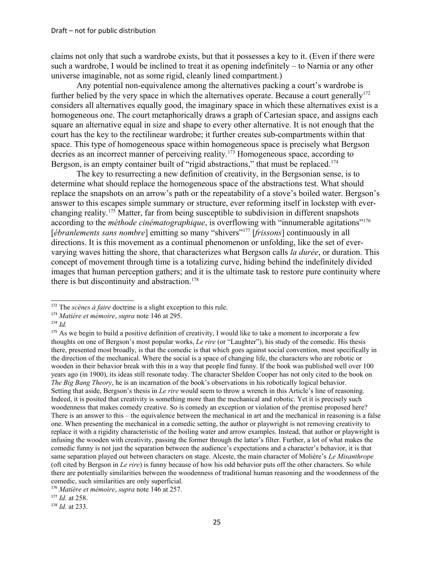claims not only that such a wardrobe exists, but that it possesses a key to it. (Even if there were such a wardrobe, I would be inclined to treat it as opening indefinitely – to Narnia or any other universe imaginable, not as some rigid, cleanly lined compartment.)

Any potential non-equivalence among the alternatives packing a court's wardrobe is further belied by the very space in which the alternatives operate. Because a court generally<sup>[172](#page-24-0)</sup> considers all alternatives equally good, the imaginary space in which these alternatives exist is a homogeneous one. The court metaphorically draws a graph of Cartesian space, and assigns each square an alternative equal in size and shape to every other alternative. It is not enough that the court has the key to the rectilinear wardrobe; it further creates sub-compartments within that space. This type of homogeneous space within homogeneous space is precisely what Bergson decries as an incorrect manner of perceiving reality.<sup>[173](#page-24-1)</sup> Homogeneous space, according to Bergson, is an empty container built of "rigid abstractions," that must be replaced.<sup>[174](#page-24-2)</sup>

The key to resurrecting a new definition of creativity, in the Bergsonian sense, is to determine what should replace the homogeneous space of the abstractions test. What should replace the snapshots on an arrow's path or the repeatability of a stove's boiled water. Bergson's answer to this escapes simple summary or structure, ever reforming itself in lockstep with everchanging reality.[175](#page-24-3) Matter, far from being susceptible to subdivision in different snapshots according to the *méthode cinématographique*, is overflowing with "innumerable agitations"<sup>[176](#page-24-4)</sup> [*ébranlements sans nombre*] emitting so many "shivers"<sup>[177](#page-24-5)</sup> [*frissons*] continuously in all directions. It is this movement as a continual phenomenon or unfolding, like the set of evervarying waves hitting the shore, that characterizes what Bergson calls *la durée*, or duration. This concept of movement through time is a totalizing curve, hiding behind the indefinitely divided images that human perception gathers; and it is the ultimate task to restore pure continuity where there is but discontinuity and abstraction.<sup>[178](#page-24-6)</sup>

<span id="page-24-0"></span><sup>&</sup>lt;sup>172</sup> The *scènes à faire* doctrine is a slight exception to this rule.

<span id="page-24-1"></span><sup>173</sup> *Matière et mémoire*, *supra* note 146 at 295.

<span id="page-24-2"></span><sup>174</sup> *Id.*

<span id="page-24-3"></span><sup>&</sup>lt;sup>175</sup> As we begin to build a positive definition of creativity, I would like to take a moment to incorporate a few thoughts on one of Bergson's most popular works, *Le rire* (or "Laughter"), his study of the comedic. His thesis there, presented most broadly, is that the comedic is that which goes against social convention, most specifically in the direction of the mechanical. Where the social is a space of changing life, the characters who are robotic or wooden in their behavior break with this in a way that people find funny. If the book was published well over 100 years ago (in 1900), its ideas still resonate today. The character Sheldon Cooper has not only cited to the book on *The Big Bang Theory*, he is an incarnation of the book's observations in his robotically logical behavior. Setting that aside, Bergson's thesis in *Le rire* would seem to throw a wrench in this Article's line of reasoning. Indeed, it is posited that creativity is something more than the mechanical and robotic. Yet it is precisely such woodenness that makes comedy creative. So is comedy an exception or violation of the premise proposed here? There is an answer to this – the equivalence between the mechanical in art and the mechanical in reasoning is a false one. When presenting the mechanical in a comedic setting, the author or playwright is not removing creativity to replace it with a rigidity characteristic of the boiling water and arrow examples. Instead, that author or playwright is infusing the wooden with creativity, passing the former through the latter's filter. Further, a lot of what makes the comedic funny is not just the separation between the audience's expectations and a character's behavior, it is that same separation played out between characters on stage. Alceste, the main character of Molière's *Le Misanthrope* (oft cited by Bergson in *Le rire*) is funny because of how his odd behavior puts off the other characters. So while there are potentially similarities between the woodenness of traditional human reasoning and the woodenness of the comedic, such similarities are only superficial.

<span id="page-24-4"></span><sup>176</sup> *Matière et mémoire*, *supra* note 146 at 257.

<span id="page-24-5"></span><sup>177</sup> *Id.* at 258.

<span id="page-24-6"></span><sup>178</sup> *Id.* at 233.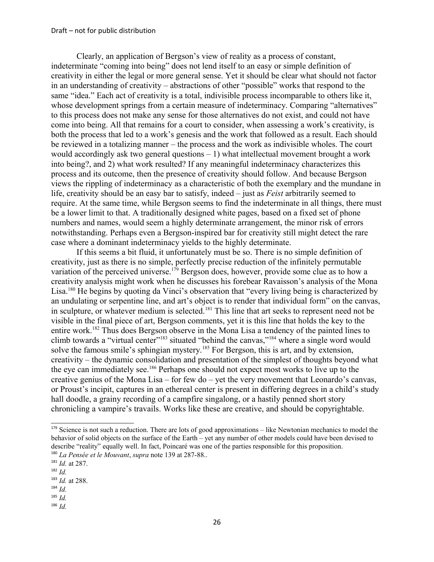Clearly, an application of Bergson's view of reality as a process of constant, indeterminate "coming into being" does not lend itself to an easy or simple definition of creativity in either the legal or more general sense. Yet it should be clear what should not factor in an understanding of creativity – abstractions of other "possible" works that respond to the same "idea." Each act of creativity is a total, indivisible process incomparable to others like it, whose development springs from a certain measure of indeterminacy. Comparing "alternatives" to this process does not make any sense for those alternatives do not exist, and could not have come into being. All that remains for a court to consider, when assessing a work's creativity, is both the process that led to a work's genesis and the work that followed as a result. Each should be reviewed in a totalizing manner – the process and the work as indivisible wholes. The court would accordingly ask two general questions  $-1$ ) what intellectual movement brought a work into being?, and 2) what work resulted? If any meaningful indeterminacy characterizes this process and its outcome, then the presence of creativity should follow. And because Bergson views the rippling of indeterminacy as a characteristic of both the exemplary and the mundane in life, creativity should be an easy bar to satisfy, indeed – just as *Feist* arbitrarily seemed to require. At the same time, while Bergson seems to find the indeterminate in all things, there must be a lower limit to that. A traditionally designed white pages, based on a fixed set of phone numbers and names, would seem a highly determinate arrangement, the minor risk of errors notwithstanding. Perhaps even a Bergson-inspired bar for creativity still might detect the rare case where a dominant indeterminacy yields to the highly determinate.

If this seems a bit fluid, it unfortunately must be so. There is no simple definition of creativity, just as there is no simple, perfectly precise reduction of the infinitely permutable variation of the perceived universe.<sup>[179](#page-25-0)</sup> Bergson does, however, provide some clue as to how a creativity analysis might work when he discusses his forebear Ravaisson's analysis of the Mona Lisa.<sup>[180](#page-25-1)</sup> He begins by quoting da Vinci's observation that "every living being is characterized by an undulating or serpentine line, and art's object is to render that individual form" on the canvas, in sculpture, or whatever medium is selected.<sup>[181](#page-25-2)</sup> This line that art seeks to represent need not be visible in the final piece of art, Bergson comments, yet it is this line that holds the key to the entire work.[182](#page-25-3) Thus does Bergson observe in the Mona Lisa a tendency of the painted lines to climb towards a "virtual center"<sup>[183](#page-25-4)</sup> situated "behind the canvas,"<sup>[184](#page-25-5)</sup> where a single word would solve the famous smile's sphingian mystery.<sup>[185](#page-25-6)</sup> For Bergson, this is art, and by extension, creativity – the dynamic consolidation and presentation of the simplest of thoughts beyond what the eye can immediately see.[186](#page-25-7) Perhaps one should not expect most works to live up to the creative genius of the Mona Lisa – for few do – yet the very movement that Leonardo's canvas, or Proust's incipit, captures in an ethereal center is present in differing degrees in a child's study hall doodle, a grainy recording of a campfire singalong, or a hastily penned short story chronicling a vampire's travails. Works like these are creative, and should be copyrightable.

<span id="page-25-6"></span> $185$  *Id.* 

<span id="page-25-0"></span> $179$  Science is not such a reduction. There are lots of good approximations – like Newtonian mechanics to model the behavior of solid objects on the surface of the Earth – yet any number of other models could have been devised to describe "reality" equally well. In fact, Poincaré was one of the parties responsible for this proposition. <sup>180</sup> *La Pensée et le Mouvant*, *supra* note 139 at 287-88..

<span id="page-25-2"></span><span id="page-25-1"></span><sup>181</sup> *Id.* at 287.

<span id="page-25-3"></span><sup>182</sup> *Id.* 

<span id="page-25-4"></span><sup>183</sup> *Id.* at 288.

<span id="page-25-5"></span><sup>184</sup> *Id.*

<span id="page-25-7"></span><sup>186</sup> *Id.*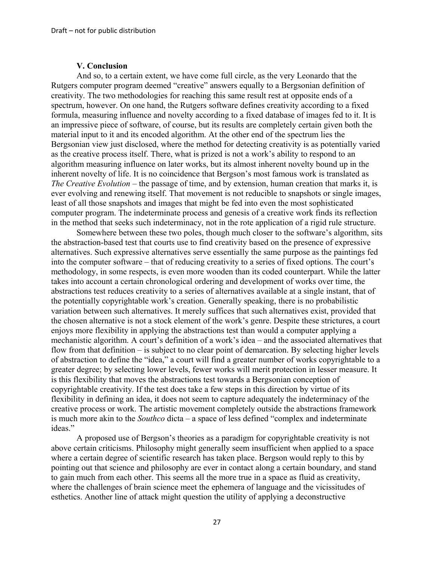#### **V. Conclusion**

And so, to a certain extent, we have come full circle, as the very Leonardo that the Rutgers computer program deemed "creative" answers equally to a Bergsonian definition of creativity. The two methodologies for reaching this same result rest at opposite ends of a spectrum, however. On one hand, the Rutgers software defines creativity according to a fixed formula, measuring influence and novelty according to a fixed database of images fed to it. It is an impressive piece of software, of course, but its results are completely certain given both the material input to it and its encoded algorithm. At the other end of the spectrum lies the Bergsonian view just disclosed, where the method for detecting creativity is as potentially varied as the creative process itself. There, what is prized is not a work's ability to respond to an algorithm measuring influence on later works, but its almost inherent novelty bound up in the inherent novelty of life. It is no coincidence that Bergson's most famous work is translated as *The Creative Evolution* – the passage of time, and by extension, human creation that marks it, is ever evolving and renewing itself. That movement is not reducible to snapshots or single images, least of all those snapshots and images that might be fed into even the most sophisticated computer program. The indeterminate process and genesis of a creative work finds its reflection in the method that seeks such indeterminacy, not in the rote application of a rigid rule structure.

Somewhere between these two poles, though much closer to the software's algorithm, sits the abstraction-based test that courts use to find creativity based on the presence of expressive alternatives. Such expressive alternatives serve essentially the same purpose as the paintings fed into the computer software – that of reducing creativity to a series of fixed options. The court's methodology, in some respects, is even more wooden than its coded counterpart. While the latter takes into account a certain chronological ordering and development of works over time, the abstractions test reduces creativity to a series of alternatives available at a single instant, that of the potentially copyrightable work's creation. Generally speaking, there is no probabilistic variation between such alternatives. It merely suffices that such alternatives exist, provided that the chosen alternative is not a stock element of the work's genre. Despite these strictures, a court enjoys more flexibility in applying the abstractions test than would a computer applying a mechanistic algorithm. A court's definition of a work's idea – and the associated alternatives that flow from that definition – is subject to no clear point of demarcation. By selecting higher levels of abstraction to define the "idea," a court will find a greater number of works copyrightable to a greater degree; by selecting lower levels, fewer works will merit protection in lesser measure. It is this flexibility that moves the abstractions test towards a Bergsonian conception of copyrightable creativity. If the test does take a few steps in this direction by virtue of its flexibility in defining an idea, it does not seem to capture adequately the indeterminacy of the creative process or work. The artistic movement completely outside the abstractions framework is much more akin to the *Southco* dicta – a space of less defined "complex and indeterminate ideas."

A proposed use of Bergson's theories as a paradigm for copyrightable creativity is not above certain criticisms. Philosophy might generally seem insufficient when applied to a space where a certain degree of scientific research has taken place. Bergson would reply to this by pointing out that science and philosophy are ever in contact along a certain boundary, and stand to gain much from each other. This seems all the more true in a space as fluid as creativity, where the challenges of brain science meet the ephemera of language and the vicissitudes of esthetics. Another line of attack might question the utility of applying a deconstructive